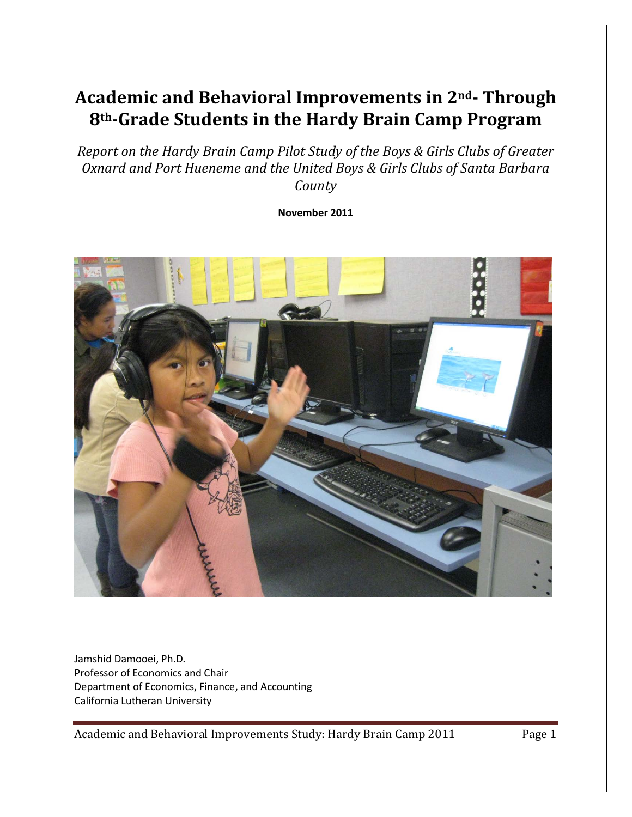# **Academic and Behavioral Improvements in 2nd- Through 8th-Grade Students in the Hardy Brain Camp Program**

*Report on the Hardy Brain Camp Pilot Study of the Boys & Girls Clubs of Greater Oxnard and Port Hueneme and the United Boys & Girls Clubs of Santa Barbara County*

**November 2011**



Jamshid Damooei, Ph.D. Professor of Economics and Chair Department of Economics, Finance, and Accounting California Lutheran University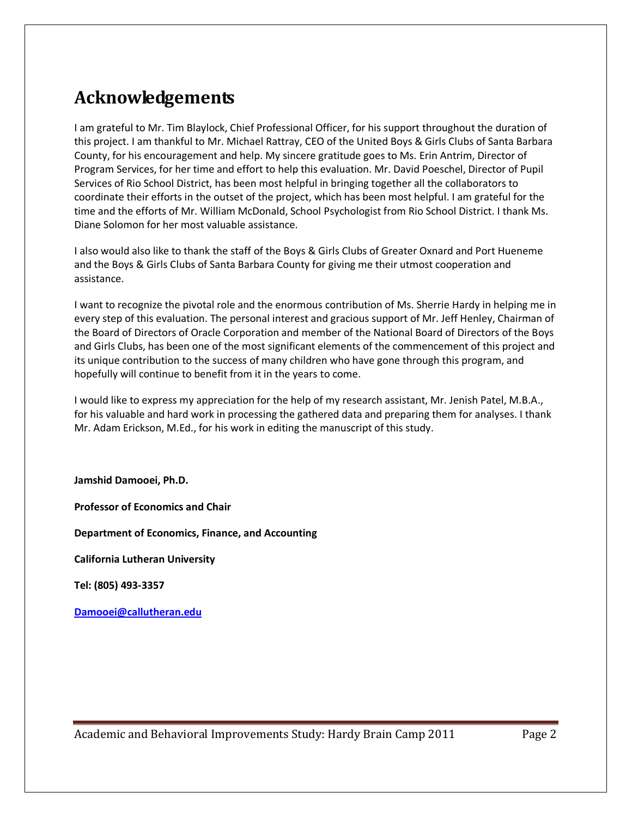# <span id="page-1-0"></span>**Acknowledgements**

I am grateful to Mr. Tim Blaylock, Chief Professional Officer, for his support throughout the duration of this project. I am thankful to Mr. Michael Rattray, CEO of the United Boys & Girls Clubs of Santa Barbara County, for his encouragement and help. My sincere gratitude goes to Ms. Erin Antrim, Director of Program Services, for her time and effort to help this evaluation. Mr. David Poeschel, Director of Pupil Services of Rio School District, has been most helpful in bringing together all the collaborators to coordinate their efforts in the outset of the project, which has been most helpful. I am grateful for the time and the efforts of Mr. William McDonald, School Psychologist from Rio School District. I thank Ms. Diane Solomon for her most valuable assistance.

I also would also like to thank the staff of the Boys & Girls Clubs of Greater Oxnard and Port Hueneme and the Boys & Girls Clubs of Santa Barbara County for giving me their utmost cooperation and assistance.

I want to recognize the pivotal role and the enormous contribution of Ms. Sherrie Hardy in helping me in every step of this evaluation. The personal interest and gracious support of Mr. Jeff Henley, Chairman of the Board of Directors of Oracle Corporation and member of the National Board of Directors of the Boys and Girls Clubs, has been one of the most significant elements of the commencement of this project and its unique contribution to the success of many children who have gone through this program, and hopefully will continue to benefit from it in the years to come.

I would like to express my appreciation for the help of my research assistant, Mr. Jenish Patel, M.B.A., for his valuable and hard work in processing the gathered data and preparing them for analyses. I thank Mr. Adam Erickson, M.Ed., for his work in editing the manuscript of this study.

**Jamshid Damooei, Ph.D.**

**Professor of Economics and Chair**

**Department of Economics, Finance, and Accounting**

**California Lutheran University**

**Tel: (805) 493-3357**

**[Damooei@callutheran.edu](mailto:Damooei@callutheran.edu)**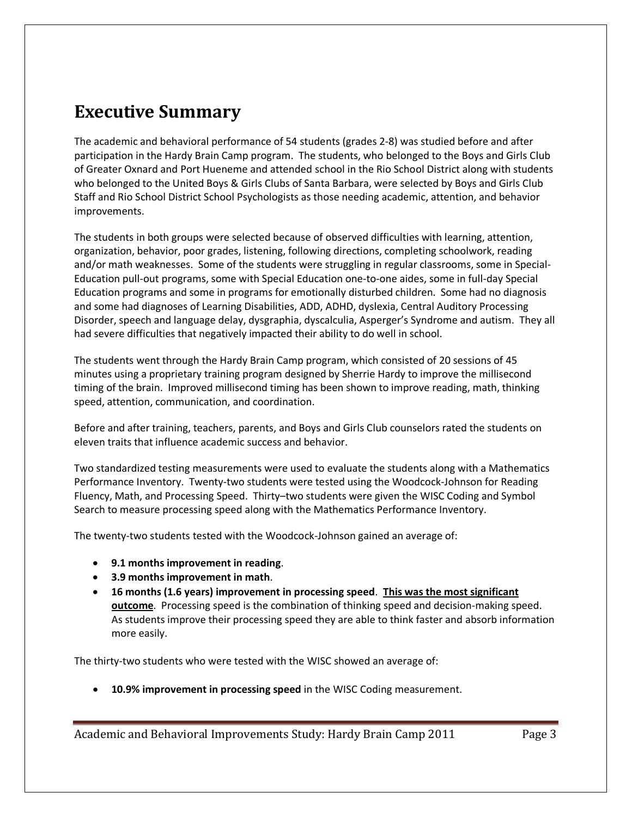## <span id="page-2-0"></span>**Executive Summary**

The academic and behavioral performance of 54 students (grades 2-8) was studied before and after participation in the Hardy Brain Camp program. The students, who belonged to the Boys and Girls Club of Greater Oxnard and Port Hueneme and attended school in the Rio School District along with students who belonged to the United Boys & Girls Clubs of Santa Barbara, were selected by Boys and Girls Club Staff and Rio School District School Psychologists as those needing academic, attention, and behavior improvements.

The students in both groups were selected because of observed difficulties with learning, attention, organization, behavior, poor grades, listening, following directions, completing schoolwork, reading and/or math weaknesses. Some of the students were struggling in regular classrooms, some in Special-Education pull-out programs, some with Special Education one-to-one aides, some in full-day Special Education programs and some in programs for emotionally disturbed children. Some had no diagnosis and some had diagnoses of Learning Disabilities, ADD, ADHD, dyslexia, Central Auditory Processing Disorder, speech and language delay, dysgraphia, dyscalculia, Asperger's Syndrome and autism. They all had severe difficulties that negatively impacted their ability to do well in school.

The students went through the Hardy Brain Camp program, which consisted of 20 sessions of 45 minutes using a proprietary training program designed by Sherrie Hardy to improve the millisecond timing of the brain. Improved millisecond timing has been shown to improve reading, math, thinking speed, attention, communication, and coordination.

Before and after training, teachers, parents, and Boys and Girls Club counselors rated the students on eleven traits that influence academic success and behavior.

Two standardized testing measurements were used to evaluate the students along with a Mathematics Performance Inventory. Twenty-two students were tested using the Woodcock-Johnson for Reading Fluency, Math, and Processing Speed. Thirty–two students were given the WISC Coding and Symbol Search to measure processing speed along with the Mathematics Performance Inventory.

The twenty-two students tested with the Woodcock-Johnson gained an average of:

- **9.1 months improvement in reading**.
- **3.9 months improvement in math**.
- **16 months (1.6 years) improvement in processing speed**. **This was the most significant outcome**. Processing speed is the combination of thinking speed and decision-making speed. As students improve their processing speed they are able to think faster and absorb information more easily.

The thirty-two students who were tested with the WISC showed an average of:

• **10.9% improvement in processing speed** in the WISC Coding measurement.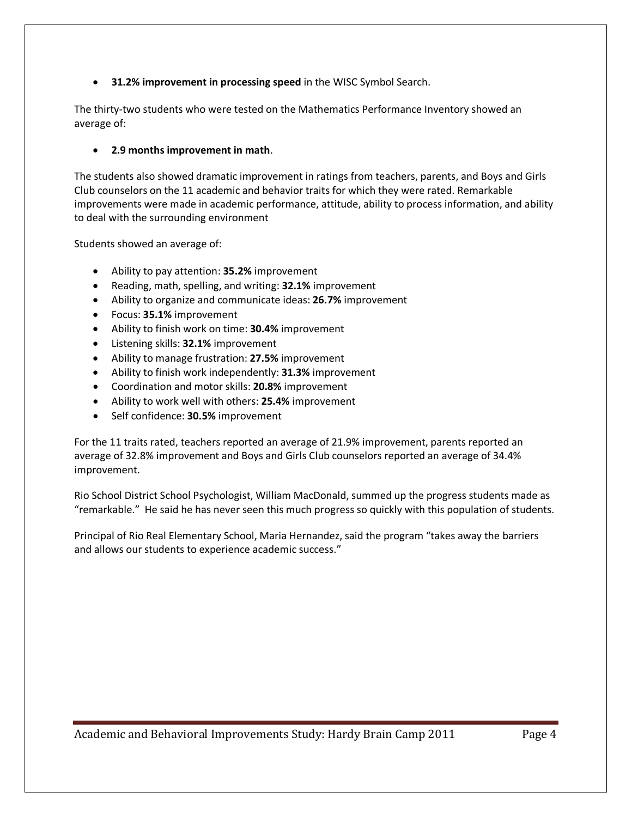• **31.2% improvement in processing speed** in the WISC Symbol Search.

The thirty-two students who were tested on the Mathematics Performance Inventory showed an average of:

### • **2.9 months improvement in math**.

The students also showed dramatic improvement in ratings from teachers, parents, and Boys and Girls Club counselors on the 11 academic and behavior traits for which they were rated. Remarkable improvements were made in academic performance, attitude, ability to process information, and ability to deal with the surrounding environment

Students showed an average of:

- Ability to pay attention: **35.2%** improvement
- Reading, math, spelling, and writing: **32.1%** improvement
- Ability to organize and communicate ideas: **26.7%** improvement
- Focus: **35.1%** improvement
- Ability to finish work on time: **30.4%** improvement
- Listening skills: **32.1%** improvement
- Ability to manage frustration: **27.5%** improvement
- Ability to finish work independently: **31.3%** improvement
- Coordination and motor skills: **20.8%** improvement
- Ability to work well with others: **25.4%** improvement
- Self confidence: **30.5%** improvement

For the 11 traits rated, teachers reported an average of 21.9% improvement, parents reported an average of 32.8% improvement and Boys and Girls Club counselors reported an average of 34.4% improvement.

Rio School District School Psychologist, William MacDonald, summed up the progress students made as "remarkable." He said he has never seen this much progress so quickly with this population of students.

Principal of Rio Real Elementary School, Maria Hernandez, said the program "takes away the barriers and allows our students to experience academic success."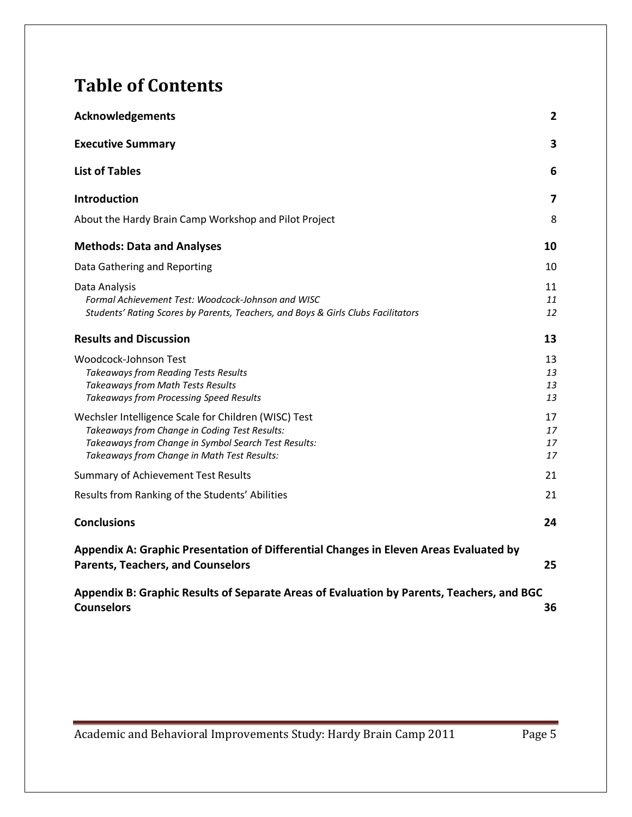# **Table of Contents**

| <b>Acknowledgements</b>                                                                                                                                                                                      | 2                    |
|--------------------------------------------------------------------------------------------------------------------------------------------------------------------------------------------------------------|----------------------|
| <b>Executive Summary</b>                                                                                                                                                                                     | 3                    |
| <b>List of Tables</b>                                                                                                                                                                                        | 6                    |
| <b>Introduction</b>                                                                                                                                                                                          | 7                    |
| About the Hardy Brain Camp Workshop and Pilot Project                                                                                                                                                        | 8                    |
| <b>Methods: Data and Analyses</b>                                                                                                                                                                            | 10                   |
| Data Gathering and Reporting                                                                                                                                                                                 | 10                   |
| Data Analysis<br>Formal Achievement Test: Woodcock-Johnson and WISC<br>Students' Rating Scores by Parents, Teachers, and Boys & Girls Clubs Facilitators                                                     | 11<br>11<br>12       |
| <b>Results and Discussion</b>                                                                                                                                                                                | 13                   |
| Woodcock-Johnson Test<br><b>Takeaways from Reading Tests Results</b><br><b>Takeaways from Math Tests Results</b><br>Takeaways from Processing Speed Results                                                  | 13<br>13<br>13<br>13 |
| Wechsler Intelligence Scale for Children (WISC) Test<br>Takeaways from Change in Coding Test Results:<br>Takeaways from Change in Symbol Search Test Results:<br>Takeaways from Change in Math Test Results: | 17<br>17<br>17<br>17 |
| <b>Summary of Achievement Test Results</b>                                                                                                                                                                   | 21                   |
| Results from Ranking of the Students' Abilities                                                                                                                                                              | 21                   |
| <b>Conclusions</b>                                                                                                                                                                                           | 24                   |
| Appendix A: Graphic Presentation of Differential Changes in Eleven Areas Evaluated by<br><b>Parents, Teachers, and Counselors</b>                                                                            | 25                   |
| Appendix B: Graphic Results of Separate Areas of Evaluation by Parents, Teachers, and BGC<br><b>Counselors</b>                                                                                               | 36                   |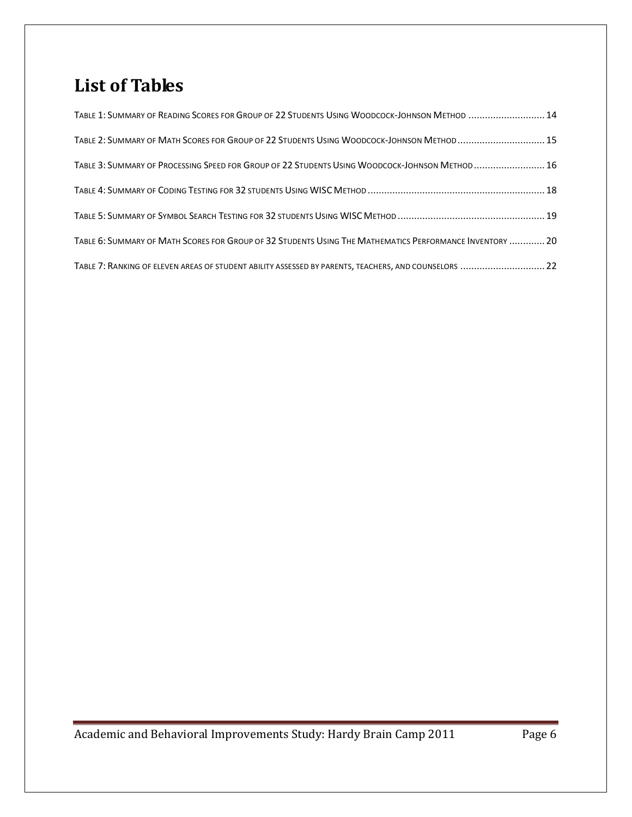# <span id="page-5-0"></span>**List of Tables**

| TABLE 1: SUMMARY OF READING SCORES FOR GROUP OF 22 STUDENTS USING WOODCOCK-JOHNSON METHOD  14            |  |
|----------------------------------------------------------------------------------------------------------|--|
| TABLE 2: SUMMARY OF MATH SCORES FOR GROUP OF 22 STUDENTS USING WOODCOCK-JOHNSON METHOD 15                |  |
| TABLE 3: SUMMARY OF PROCESSING SPEED FOR GROUP OF 22 STUDENTS USING WOODCOCK-JOHNSON METHOD16            |  |
|                                                                                                          |  |
|                                                                                                          |  |
| TABLE 6: SUMMARY OF MATH SCORES FOR GROUP OF 32 STUDENTS USING THE MATHEMATICS PERFORMANCE INVENTORY  20 |  |
| TABLE 7: RANKING OF ELEVEN AREAS OF STUDENT ABILITY ASSESSED BY PARENTS, TEACHERS, AND COUNSELORS  22    |  |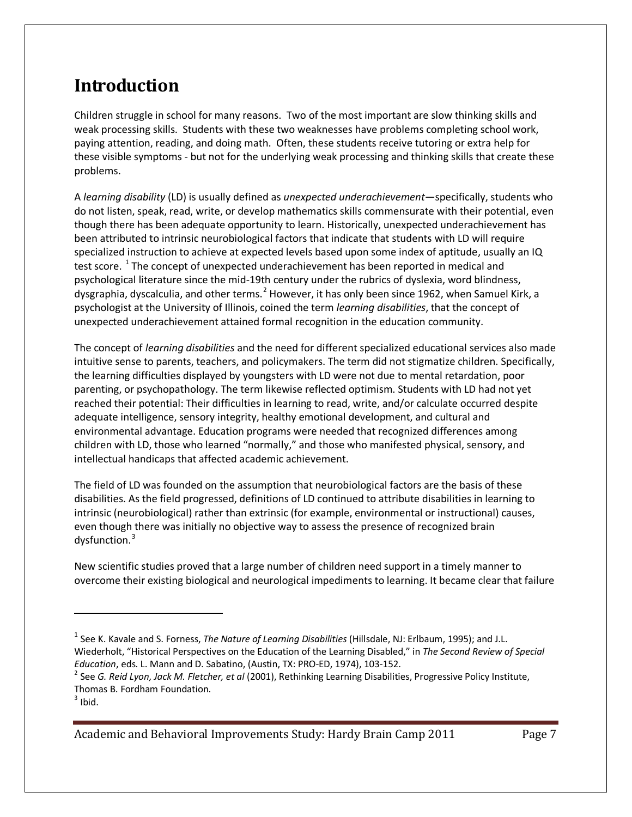# <span id="page-6-0"></span>**Introduction**

Children struggle in school for many reasons. Two of the most important are slow thinking skills and weak processing skills. Students with these two weaknesses have problems completing school work, paying attention, reading, and doing math. Often, these students receive tutoring or extra help for these visible symptoms - but not for the underlying weak processing and thinking skills that create these problems.

A *learning disability* (LD) is usually defined as *unexpected underachievement*—specifically, students who do not listen, speak, read, write, or develop mathematics skills commensurate with their potential, even though there has been adequate opportunity to learn. Historically, unexpected underachievement has been attributed to intrinsic neurobiological factors that indicate that students with LD will require specialized instruction to achieve at expected levels based upon some index of aptitude, usually an IQ test score.<sup>[1](#page-6-1)</sup> The concept of unexpected underachievement has been reported in medical and psychological literature since the mid-19th century under the rubrics of dyslexia, word blindness, dysgraphia, dyscalculia, and other terms.<sup>[2](#page-6-2)</sup> However, it has only been since 1962, when Samuel Kirk, a psychologist at the University of Illinois, coined the term *learning disabilities*, that the concept of unexpected underachievement attained formal recognition in the education community.

The concept of *learning disabilities* and the need for different specialized educational services also made intuitive sense to parents, teachers, and policymakers. The term did not stigmatize children. Specifically, the learning difficulties displayed by youngsters with LD were not due to mental retardation, poor parenting, or psychopathology. The term likewise reflected optimism. Students with LD had not yet reached their potential: Their difficulties in learning to read, write, and/or calculate occurred despite adequate intelligence, sensory integrity, healthy emotional development, and cultural and environmental advantage. Education programs were needed that recognized differences among children with LD, those who learned "normally," and those who manifested physical, sensory, and intellectual handicaps that affected academic achievement.

The field of LD was founded on the assumption that neurobiological factors are the basis of these disabilities. As the field progressed, definitions of LD continued to attribute disabilities in learning to intrinsic (neurobiological) rather than extrinsic (for example, environmental or instructional) causes, even though there was initially no objective way to assess the presence of recognized brain dysfunction. [3](#page-6-3)

New scientific studies proved that a large number of children need support in a timely manner to overcome their existing biological and neurological impediments to learning. It became clear that failure

l

<span id="page-6-1"></span><sup>1</sup> See K. Kavale and S. Forness, *The Nature of Learning Disabilities* (Hillsdale, NJ: Erlbaum, 1995); and J.L. Wiederholt, "Historical Perspectives on the Education of the Learning Disabled," in *The Second Review of Special* 

<span id="page-6-2"></span>*Education*, eds. L. Mann and D. Sabatino, (Austin, TX: PRO-ED, 1974), 103-152.<br><sup>2</sup> See *G. Reid Lyon, Jack M. Fletcher, et al* (2001), Rethinking Learning Disabilities, Progressive Policy Institute, Thomas B. Fordham Foundation.

<span id="page-6-3"></span> $3$  Ibid.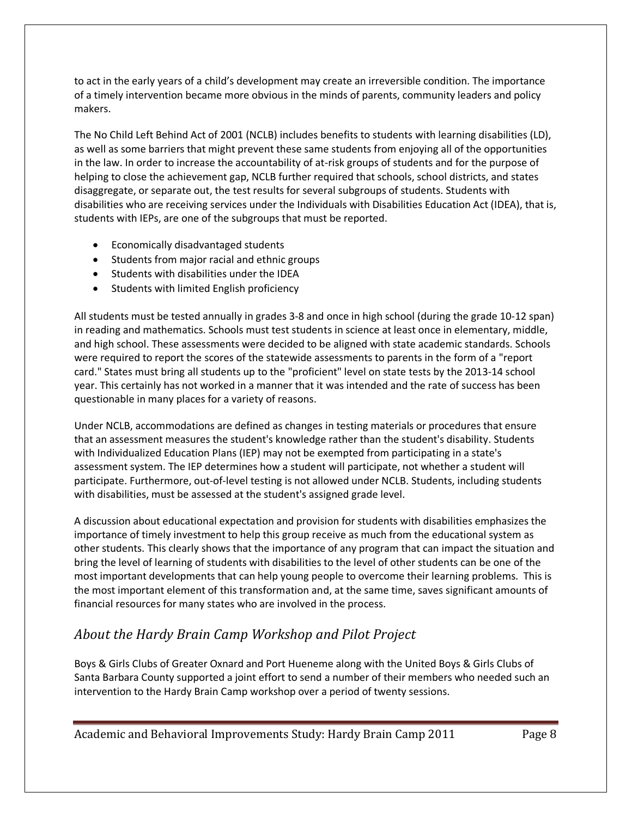to act in the early years of a child's development may create an irreversible condition. The importance of a timely intervention became more obvious in the minds of parents, community leaders and policy makers.

The No Child Left Behind Act of 2001 (NCLB) includes benefits to students with learning disabilities (LD), as well as some barriers that might prevent these same students from enjoying all of the opportunities in the law. In order to increase the accountability of at-risk groups of students and for the purpose of helping to close the achievement gap, NCLB further required that schools, school districts, and states disaggregate, or separate out, the test results for several subgroups of students. Students with disabilities who are receiving services under the Individuals with Disabilities Education Act (IDEA), that is, students with IEPs, are one of the subgroups that must be reported.

- Economically disadvantaged students
- Students from major racial and ethnic groups
- Students with disabilities under the IDEA
- Students with limited English proficiency

All students must be tested annually in grades 3-8 and once in high school (during the grade 10-12 span) in reading and mathematics. Schools must test students in science at least once in elementary, middle, and high school. These assessments were decided to be aligned with state academic standards. Schools were required to report the scores of the statewide assessments to parents in the form of a "report card." States must bring all students up to the "proficient" level on state tests by the 2013-14 school year. This certainly has not worked in a manner that it was intended and the rate of success has been questionable in many places for a variety of reasons.

Under NCLB, accommodations are defined as changes in testing materials or procedures that ensure that an assessment measures the student's knowledge rather than the student's disability. Students with Individualized Education Plans (IEP) may not be exempted from participating in a state's assessment system. The IEP determines how a student will participate, not whether a student will participate. Furthermore, out-of-level testing is not allowed under NCLB. Students, including students with disabilities, must be assessed at the student's assigned grade level.

A discussion about educational expectation and provision for students with disabilities emphasizes the importance of timely investment to help this group receive as much from the educational system as other students. This clearly shows that the importance of any program that can impact the situation and bring the level of learning of students with disabilities to the level of other students can be one of the most important developments that can help young people to overcome their learning problems. This is the most important element of this transformation and, at the same time, saves significant amounts of financial resources for many states who are involved in the process.

## <span id="page-7-0"></span>*About the Hardy Brain Camp Workshop and Pilot Project*

Boys & Girls Clubs of Greater Oxnard and Port Hueneme along with the United Boys & Girls Clubs of Santa Barbara County supported a joint effort to send a number of their members who needed such an intervention to the Hardy Brain Camp workshop over a period of twenty sessions.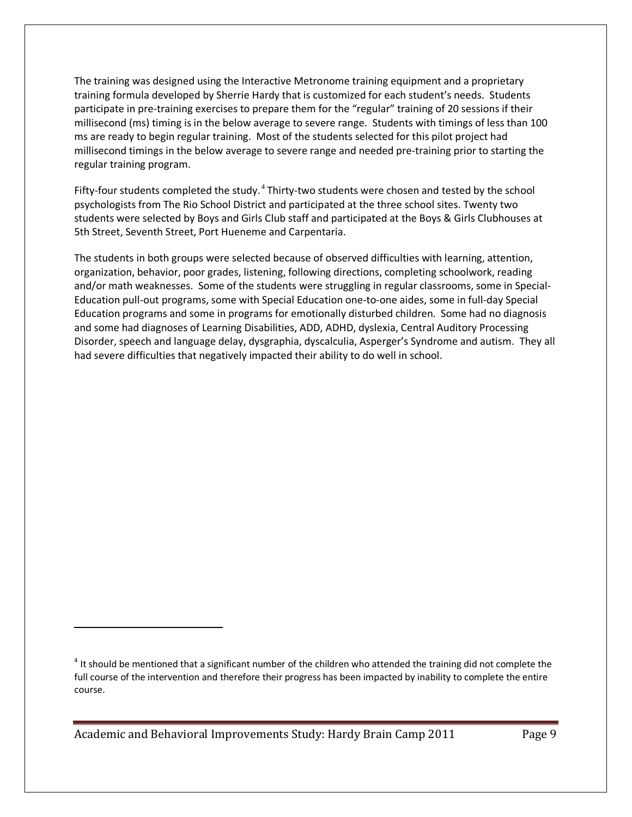The training was designed using the Interactive Metronome training equipment and a proprietary training formula developed by Sherrie Hardy that is customized for each student's needs. Students participate in pre-training exercises to prepare them for the "regular" training of 20 sessions if their millisecond (ms) timing is in the below average to severe range. Students with timings of less than 100 ms are ready to begin regular training. Most of the students selected for this pilot project had millisecond timings in the below average to severe range and needed pre-training prior to starting the regular training program.

Fifty-four students completed the study. $4$  Thirty-two students were chosen and tested by the school psychologists from The Rio School District and participated at the three school sites. Twenty two students were selected by Boys and Girls Club staff and participated at the Boys & Girls Clubhouses at 5th Street, Seventh Street, Port Hueneme and Carpentaria.

The students in both groups were selected because of observed difficulties with learning, attention, organization, behavior, poor grades, listening, following directions, completing schoolwork, reading and/or math weaknesses. Some of the students were struggling in regular classrooms, some in Special-Education pull-out programs, some with Special Education one-to-one aides, some in full-day Special Education programs and some in programs for emotionally disturbed children. Some had no diagnosis and some had diagnoses of Learning Disabilities, ADD, ADHD, dyslexia, Central Auditory Processing Disorder, speech and language delay, dysgraphia, dyscalculia, Asperger's Syndrome and autism. They all had severe difficulties that negatively impacted their ability to do well in school.

Academic and Behavioral Improvements Study: Hardy Brain Camp 2011 Page 9

 $\overline{\phantom{a}}$ 

<span id="page-8-0"></span> $4$  It should be mentioned that a significant number of the children who attended the training did not complete the full course of the intervention and therefore their progress has been impacted by inability to complete the entire course.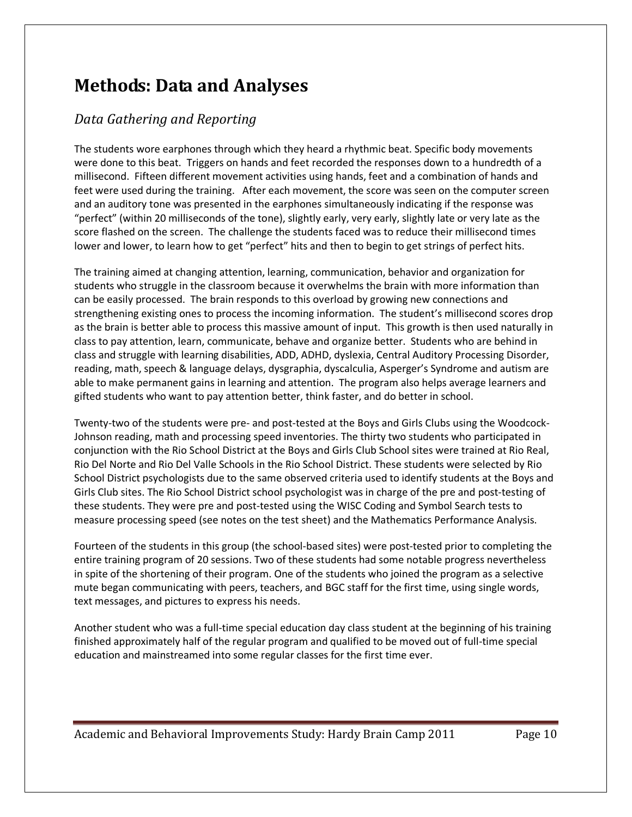# <span id="page-9-0"></span>**Methods: Data and Analyses**

## <span id="page-9-1"></span>*Data Gathering and Reporting*

The students wore earphones through which they heard a rhythmic beat. Specific body movements were done to this beat. Triggers on hands and feet recorded the responses down to a hundredth of a millisecond. Fifteen different movement activities using hands, feet and a combination of hands and feet were used during the training. After each movement, the score was seen on the computer screen and an auditory tone was presented in the earphones simultaneously indicating if the response was "perfect" (within 20 milliseconds of the tone), slightly early, very early, slightly late or very late as the score flashed on the screen. The challenge the students faced was to reduce their millisecond times lower and lower, to learn how to get "perfect" hits and then to begin to get strings of perfect hits.

The training aimed at changing attention, learning, communication, behavior and organization for students who struggle in the classroom because it overwhelms the brain with more information than can be easily processed. The brain responds to this overload by growing new connections and strengthening existing ones to process the incoming information. The student's millisecond scores drop as the brain is better able to process this massive amount of input. This growth is then used naturally in class to pay attention, learn, communicate, behave and organize better. Students who are behind in class and struggle with learning disabilities, ADD, ADHD, dyslexia, Central Auditory Processing Disorder, reading, math, speech & language delays, dysgraphia, dyscalculia, Asperger's Syndrome and autism are able to make permanent gains in learning and attention. The program also helps average learners and gifted students who want to pay attention better, think faster, and do better in school.

Twenty-two of the students were pre- and post-tested at the Boys and Girls Clubs using the Woodcock-Johnson reading, math and processing speed inventories. The thirty two students who participated in conjunction with the Rio School District at the Boys and Girls Club School sites were trained at Rio Real, Rio Del Norte and Rio Del Valle Schools in the Rio School District. These students were selected by Rio School District psychologists due to the same observed criteria used to identify students at the Boys and Girls Club sites. The Rio School District school psychologist was in charge of the pre and post-testing of these students. They were pre and post-tested using the WISC Coding and Symbol Search tests to measure processing speed (see notes on the test sheet) and the Mathematics Performance Analysis.

Fourteen of the students in this group (the school-based sites) were post-tested prior to completing the entire training program of 20 sessions. Two of these students had some notable progress nevertheless in spite of the shortening of their program. One of the students who joined the program as a selective mute began communicating with peers, teachers, and BGC staff for the first time, using single words, text messages, and pictures to express his needs.

Another student who was a full-time special education day class student at the beginning of his training finished approximately half of the regular program and qualified to be moved out of full-time special education and mainstreamed into some regular classes for the first time ever.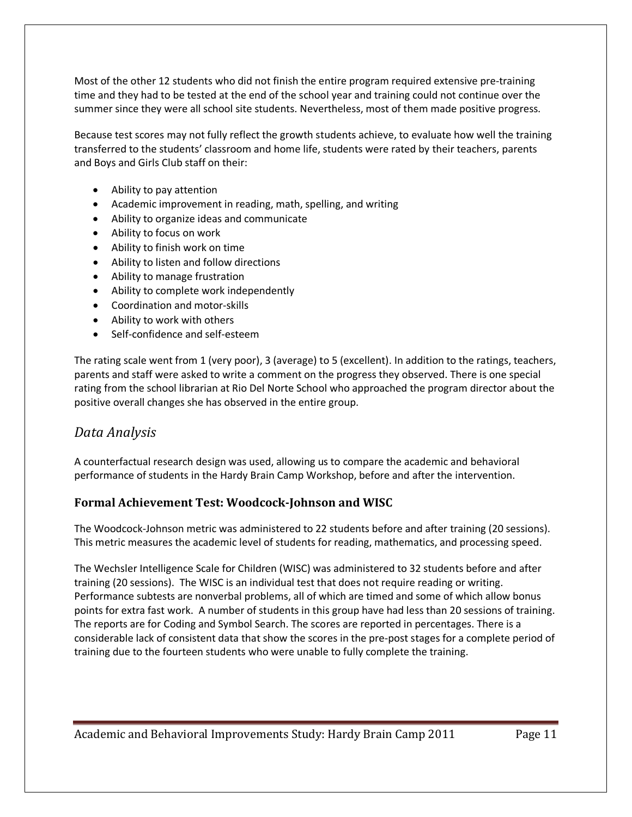Most of the other 12 students who did not finish the entire program required extensive pre-training time and they had to be tested at the end of the school year and training could not continue over the summer since they were all school site students. Nevertheless, most of them made positive progress.

Because test scores may not fully reflect the growth students achieve, to evaluate how well the training transferred to the students' classroom and home life, students were rated by their teachers, parents and Boys and Girls Club staff on their:

- Ability to pay attention
- Academic improvement in reading, math, spelling, and writing
- Ability to organize ideas and communicate
- Ability to focus on work
- Ability to finish work on time
- Ability to listen and follow directions
- Ability to manage frustration
- Ability to complete work independently
- Coordination and motor-skills
- Ability to work with others
- Self-confidence and self-esteem

The rating scale went from 1 (very poor), 3 (average) to 5 (excellent). In addition to the ratings, teachers, parents and staff were asked to write a comment on the progress they observed. There is one special rating from the school librarian at Rio Del Norte School who approached the program director about the positive overall changes she has observed in the entire group.

### <span id="page-10-0"></span>*Data Analysis*

A counterfactual research design was used, allowing us to compare the academic and behavioral performance of students in the Hardy Brain Camp Workshop, before and after the intervention.

#### <span id="page-10-1"></span>**Formal Achievement Test: Woodcock-Johnson and WISC**

The Woodcock-Johnson metric was administered to 22 students before and after training (20 sessions). This metric measures the academic level of students for reading, mathematics, and processing speed.

The Wechsler Intelligence Scale for Children (WISC) was administered to 32 students before and after training (20 sessions). The WISC is an individual test that does not require reading or writing. Performance subtests are nonverbal problems, all of which are timed and some of which allow bonus points for extra fast work. A number of students in this group have had less than 20 sessions of training. The reports are for Coding and Symbol Search. The scores are reported in percentages. There is a considerable lack of consistent data that show the scores in the pre-post stages for a complete period of training due to the fourteen students who were unable to fully complete the training.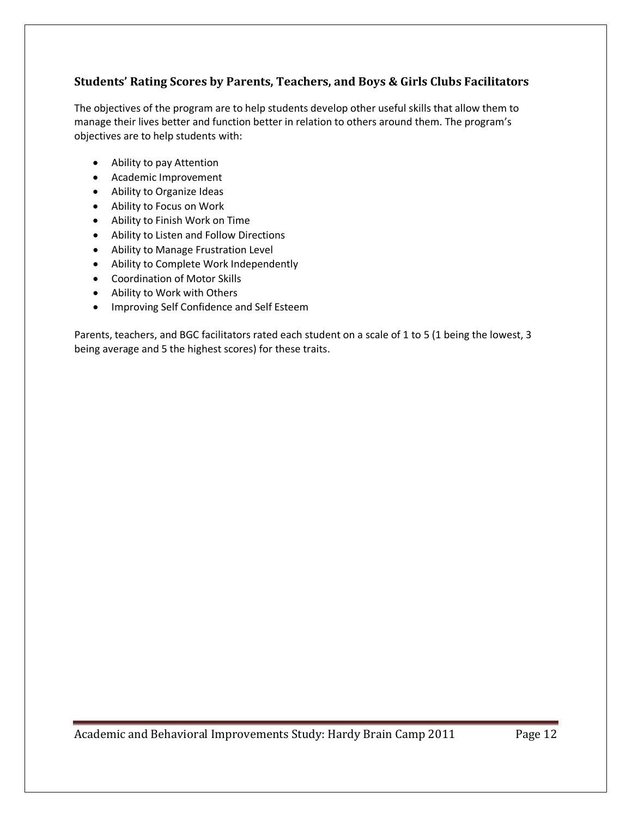### <span id="page-11-0"></span>**Students' Rating Scores by Parents, Teachers, and Boys & Girls Clubs Facilitators**

The objectives of the program are to help students develop other useful skills that allow them to manage their lives better and function better in relation to others around them. The program's objectives are to help students with:

- Ability to pay Attention
- Academic Improvement
- Ability to Organize Ideas
- Ability to Focus on Work
- Ability to Finish Work on Time
- Ability to Listen and Follow Directions
- Ability to Manage Frustration Level
- Ability to Complete Work Independently
- Coordination of Motor Skills
- Ability to Work with Others
- Improving Self Confidence and Self Esteem

Parents, teachers, and BGC facilitators rated each student on a scale of 1 to 5 (1 being the lowest, 3 being average and 5 the highest scores) for these traits.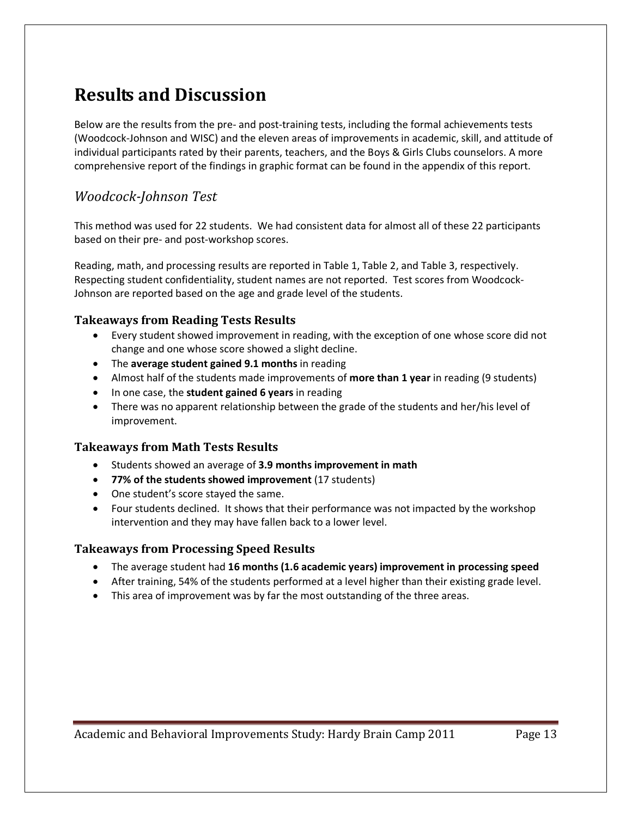## <span id="page-12-0"></span>**Results and Discussion**

Below are the results from the pre- and post-training tests, including the formal achievements tests (Woodcock-Johnson and WISC) and the eleven areas of improvements in academic, skill, and attitude of individual participants rated by their parents, teachers, and the Boys & Girls Clubs counselors. A more comprehensive report of the findings in graphic format can be found in the appendix of this report.

### <span id="page-12-1"></span>*Woodcock-Johnson Test*

This method was used for 22 students. We had consistent data for almost all of these 22 participants based on their pre- and post-workshop scores.

Reading, math, and processing results are reported in [Table 1,](#page-13-0) [Table 2,](#page-13-1) and [Table 3,](#page-14-1) respectively. Respecting student confidentiality, student names are not reported. Test scores from Woodcock-Johnson are reported based on the age and grade level of the students.

### <span id="page-12-2"></span>**Takeaways from Reading Tests Results**

- Every student showed improvement in reading, with the exception of one whose score did not change and one whose score showed a slight decline.
- The **average student gained 9.1 months** in reading
- Almost half of the students made improvements of **more than 1 year** in reading (9 students)
- In one case, the **student gained 6 years** in reading
- There was no apparent relationship between the grade of the students and her/his level of improvement.

### <span id="page-12-3"></span>**Takeaways from Math Tests Results**

- Students showed an average of **3.9 months improvement in math**
- **77% of the students showed improvement** (17 students)
- One student's score stayed the same.
- Four students declined. It shows that their performance was not impacted by the workshop intervention and they may have fallen back to a lower level.

#### <span id="page-12-4"></span>**Takeaways from Processing Speed Results**

- The average student had **16 months (1.6 academic years) improvement in processing speed**
- After training, 54% of the students performed at a level higher than their existing grade level.
- This area of improvement was by far the most outstanding of the three areas.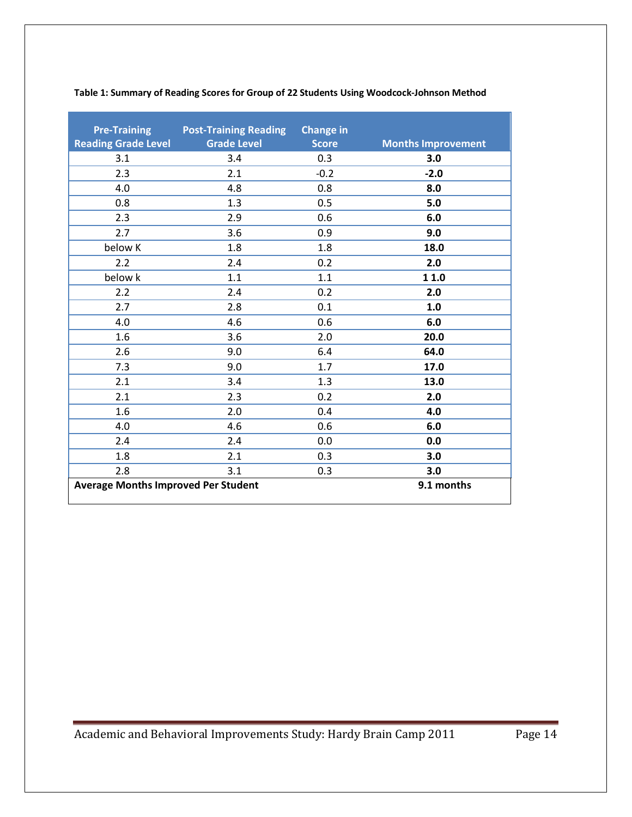<span id="page-13-1"></span>

| <b>Pre-Training</b>                        | <b>Post-Training Reading Change in</b> |              |                           |
|--------------------------------------------|----------------------------------------|--------------|---------------------------|
| <b>Reading Grade Level</b>                 | <b>Grade Level</b>                     | <b>Score</b> | <b>Months Improvement</b> |
| 3.1                                        | 3.4                                    | 0.3          | 3.0                       |
| 2.3                                        | 2.1                                    | $-0.2$       | $-2.0$                    |
| 4.0                                        | 4.8                                    | 0.8          | 8.0                       |
| 0.8                                        | 1.3                                    | 0.5          | 5.0                       |
| 2.3                                        | 2.9                                    | 0.6          | 6.0                       |
| 2.7                                        | 3.6                                    | 0.9          | 9.0                       |
| below K                                    | 1.8                                    | 1.8          | 18.0                      |
| 2.2                                        | 2.4                                    | 0.2          | 2.0                       |
| below k                                    | 1.1                                    | 1.1          | 1 1.0                     |
| 2.2                                        | 2.4                                    | 0.2          | 2.0                       |
| 2.7                                        | 2.8                                    | 0.1          | 1.0                       |
| 4.0                                        | 4.6                                    | 0.6          | 6.0                       |
| 1.6                                        | 3.6                                    | 2.0          | 20.0                      |
| 2.6                                        | 9.0                                    | 6.4          | 64.0                      |
| 7.3                                        | 9.0                                    | 1.7          | 17.0                      |
| 2.1                                        | 3.4                                    | 1.3          | 13.0                      |
| 2.1                                        | 2.3                                    | 0.2          | 2.0                       |
| 1.6                                        | 2.0                                    | 0.4          | 4.0                       |
| 4.0                                        | 4.6                                    | 0.6          | 6.0                       |
| 2.4                                        | 2.4                                    | 0.0          | 0.0                       |
| 1.8                                        | 2.1                                    | 0.3          | 3.0                       |
| 2.8                                        | 3.1                                    | 0.3          | 3.0                       |
| <b>Average Months Improved Per Student</b> |                                        |              | 9.1 months                |

#### <span id="page-13-0"></span>**Table 1: Summary of Reading Scores for Group of 22 Students Using Woodcock-Johnson Method**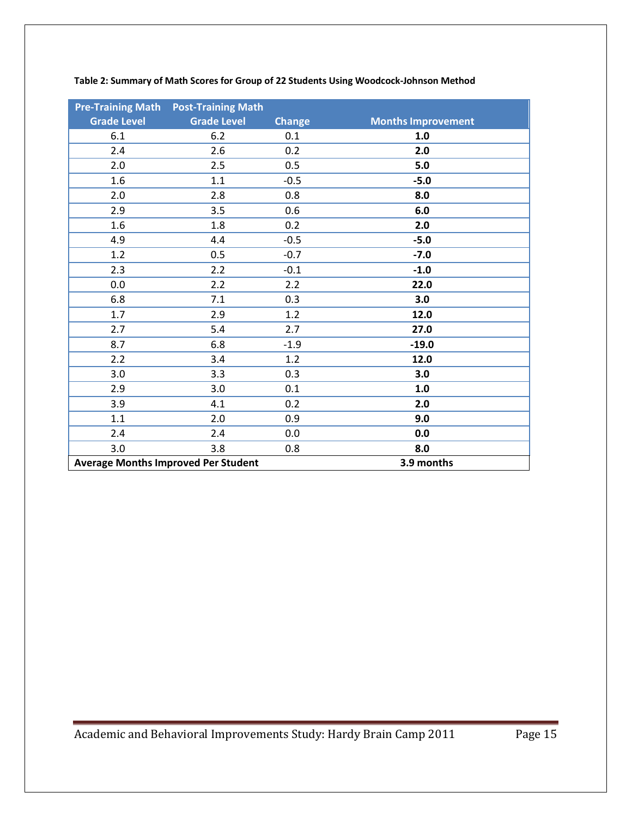<span id="page-14-1"></span>

|                    | <b>Pre-Training Math Post-Training Math</b> |               |                           |
|--------------------|---------------------------------------------|---------------|---------------------------|
| <b>Grade Level</b> | <b>Grade Level</b>                          | <b>Change</b> | <b>Months Improvement</b> |
| 6.1                | 6.2                                         | 0.1           | 1.0                       |
| 2.4                | 2.6                                         | 0.2           | 2.0                       |
| 2.0                | 2.5                                         | 0.5           | 5.0                       |
| 1.6                | 1.1                                         | $-0.5$        | $-5.0$                    |
| 2.0                | 2.8                                         | 0.8           | 8.0                       |
| 2.9                | 3.5                                         | 0.6           | 6.0                       |
| 1.6                | 1.8                                         | 0.2           | 2.0                       |
| 4.9                | 4.4                                         | $-0.5$        | $-5.0$                    |
| 1.2                | 0.5                                         | $-0.7$        | $-7.0$                    |
| 2.3                | 2.2                                         | $-0.1$        | $-1.0$                    |
| 0.0                | 2.2                                         | 2.2           | 22.0                      |
| 6.8                | 7.1                                         | 0.3           | 3.0                       |
| 1.7                | 2.9                                         | 1.2           | 12.0                      |
| 2.7                | 5.4                                         | 2.7           | 27.0                      |
| 8.7                | 6.8                                         | $-1.9$        | $-19.0$                   |
| 2.2                | 3.4                                         | 1.2           | 12.0                      |
| 3.0                | 3.3                                         | 0.3           | 3.0                       |
| 2.9                | 3.0                                         | 0.1           | 1.0                       |
| 3.9                | 4.1                                         | 0.2           | 2.0                       |
| 1.1                | 2.0                                         | 0.9           | 9.0                       |
| 2.4                | 2.4                                         | 0.0           | 0.0                       |
| 3.0                | 3.8                                         | 0.8           | 8.0                       |
|                    | <b>Average Months Improved Per Student</b>  |               | 3.9 months                |

<span id="page-14-0"></span>**Table 2: Summary of Math Scores for Group of 22 Students Using Woodcock-Johnson Method**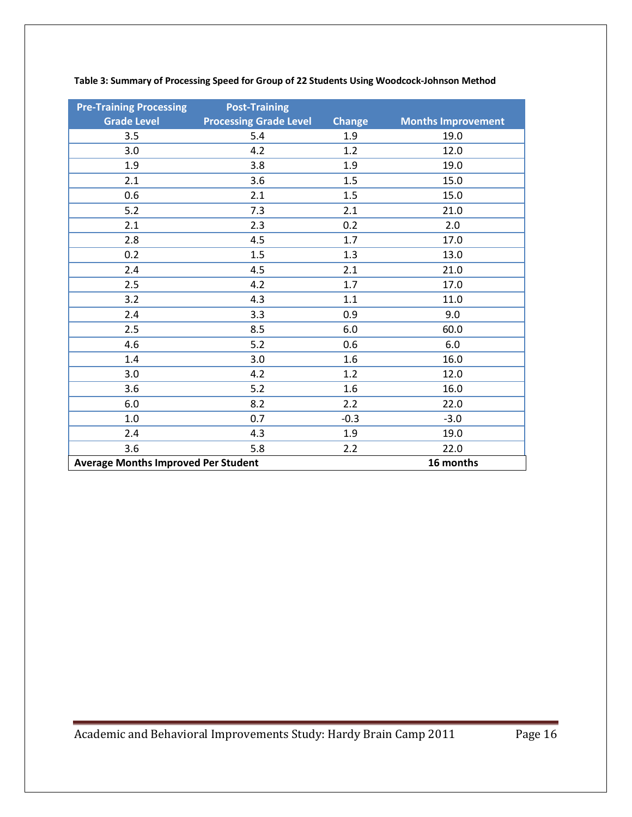| <b>Pre-Training Processing</b>             | <b>Post-Training</b>          |               |                           |
|--------------------------------------------|-------------------------------|---------------|---------------------------|
| <b>Grade Level</b>                         | <b>Processing Grade Level</b> | <b>Change</b> | <b>Months Improvement</b> |
| 3.5                                        | 5.4                           | 1.9           | 19.0                      |
| 3.0                                        | 4.2                           | 1.2           | 12.0                      |
| 1.9                                        | 3.8                           | 1.9           | 19.0                      |
| 2.1                                        | 3.6                           | 1.5           | 15.0                      |
| 0.6                                        | 2.1                           | 1.5           | 15.0                      |
| $5.2$                                      | 7.3                           | 2.1           | 21.0                      |
| 2.1                                        | 2.3                           | 0.2           | 2.0                       |
| 2.8                                        | 4.5                           | 1.7           | 17.0                      |
| 0.2                                        | 1.5                           | 1.3           | 13.0                      |
| 2.4                                        | 4.5                           | 2.1           | 21.0                      |
| 2.5                                        | 4.2                           | 1.7           | 17.0                      |
| 3.2                                        | 4.3                           | 1.1           | 11.0                      |
| 2.4                                        | 3.3                           | 0.9           | 9.0                       |
| 2.5                                        | 8.5                           | 6.0           | 60.0                      |
| 4.6                                        | 5.2                           | 0.6           | 6.0                       |
| 1.4                                        | 3.0                           | 1.6           | 16.0                      |
| 3.0                                        | 4.2                           | 1.2           | 12.0                      |
| 3.6                                        | 5.2                           | 1.6           | 16.0                      |
| 6.0                                        | 8.2                           | 2.2           | 22.0                      |
| $1.0\,$                                    | 0.7                           | $-0.3$        | $-3.0$                    |
| 2.4                                        | 4.3                           | 1.9           | 19.0                      |
| 3.6                                        | 5.8                           | 2.2           | 22.0                      |
| <b>Average Months Improved Per Student</b> |                               |               | 16 months                 |

#### **Table 3: Summary of Processing Speed for Group of 22 Students Using Woodcock-Johnson Method**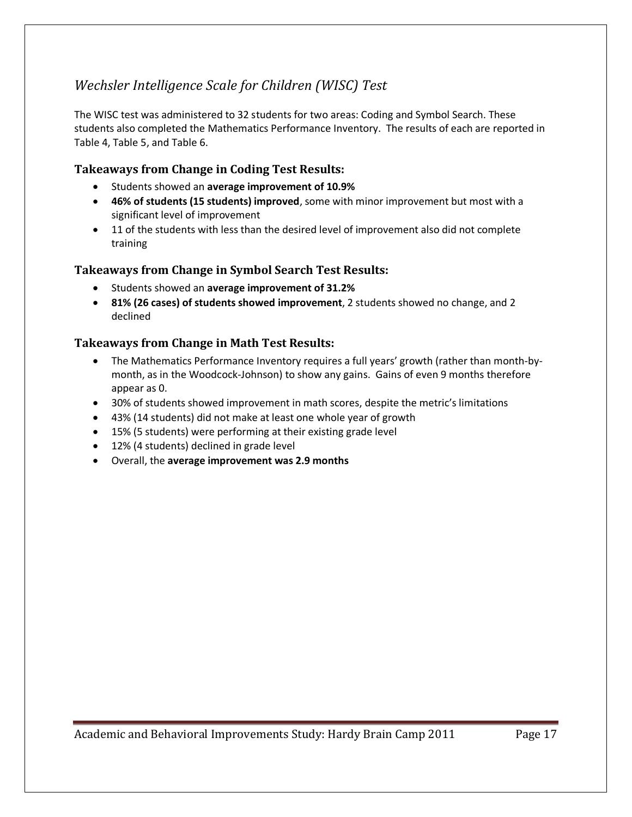## <span id="page-16-0"></span>*Wechsler Intelligence Scale for Children (WISC) Test*

The WISC test was administered to 32 students for two areas: Coding and Symbol Search. These students also completed the Mathematics Performance Inventory. The results of each are reported in [Table 4,](#page-17-0) [Table 5,](#page-18-0) and [Table 6.](#page-19-0)

### <span id="page-16-1"></span>**Takeaways from Change in Coding Test Results:**

- Students showed an **average improvement of 10.9%**
- **46% of students (15 students) improved**, some with minor improvement but most with a significant level of improvement
- 11 of the students with less than the desired level of improvement also did not complete training

### <span id="page-16-2"></span>**Takeaways from Change in Symbol Search Test Results:**

- Students showed an **average improvement of 31.2%**
- **81% (26 cases) of students showed improvement**, 2 students showed no change, and 2 declined

### <span id="page-16-3"></span>**Takeaways from Change in Math Test Results:**

- The Mathematics Performance Inventory requires a full years' growth (rather than month-bymonth, as in the Woodcock-Johnson) to show any gains. Gains of even 9 months therefore appear as 0.
- 30% of students showed improvement in math scores, despite the metric's limitations
- 43% (14 students) did not make at least one whole year of growth
- 15% (5 students) were performing at their existing grade level
- 12% (4 students) declined in grade level
- Overall, the **average improvement was 2.9 months**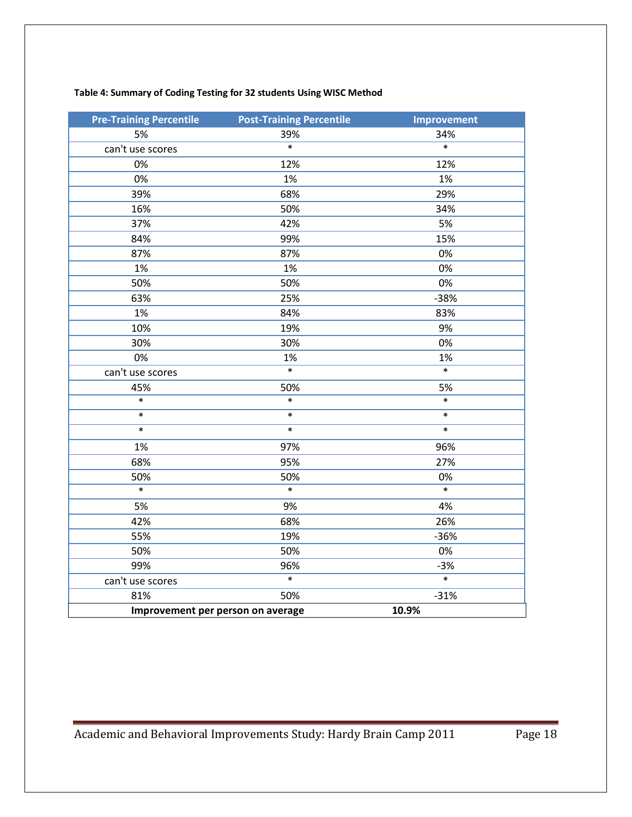### <span id="page-17-0"></span>**Table 4: Summary of Coding Testing for 32 students Using WISC Method**

| <b>Pre-Training Percentile</b> | <b>Post-Training Percentile</b>   | <b>Improvement</b> |
|--------------------------------|-----------------------------------|--------------------|
| 5%                             | 39%                               | 34%                |
| can't use scores               | $\overline{\ast}$                 | $\overline{\ast}$  |
| 0%                             | 12%                               | 12%                |
| 0%                             | 1%                                | 1%                 |
| 39%                            | 68%                               | 29%                |
| 16%                            | 50%                               | 34%                |
| 37%                            | 42%                               | 5%                 |
| 84%                            | 99%                               | 15%                |
| 87%                            | 87%                               | 0%                 |
| 1%                             | 1%                                | 0%                 |
| 50%                            | 50%                               | 0%                 |
| 63%                            | 25%                               | $-38%$             |
| 1%                             | 84%                               | 83%                |
| 10%                            | 19%                               | 9%                 |
| 30%                            | 30%                               | 0%                 |
| 0%                             | 1%                                | 1%                 |
| can't use scores               | $\ast$                            | $\ast$             |
| 45%                            | 50%                               | 5%                 |
| $\ast$                         | $\ast$                            | $\ast$             |
| $\ast$                         | $\ast$                            | $\ast$             |
| $\ast$                         | $\ast$                            | $\ast$             |
| 1%                             | 97%                               | 96%                |
| 68%                            | 95%                               | 27%                |
| 50%                            | 50%                               | 0%                 |
| $\ast$                         | $\ast$                            | $\ast$             |
| 5%                             | 9%                                | 4%                 |
| 42%                            | 68%                               | 26%                |
| 55%                            | 19%                               | $-36%$             |
| 50%                            | 50%                               | 0%                 |
| 99%                            | 96%                               | $-3%$              |
| can't use scores               | $\ast$                            | $\ast$             |
| 81%                            | 50%                               | $-31%$             |
|                                | Improvement per person on average | 10.9%              |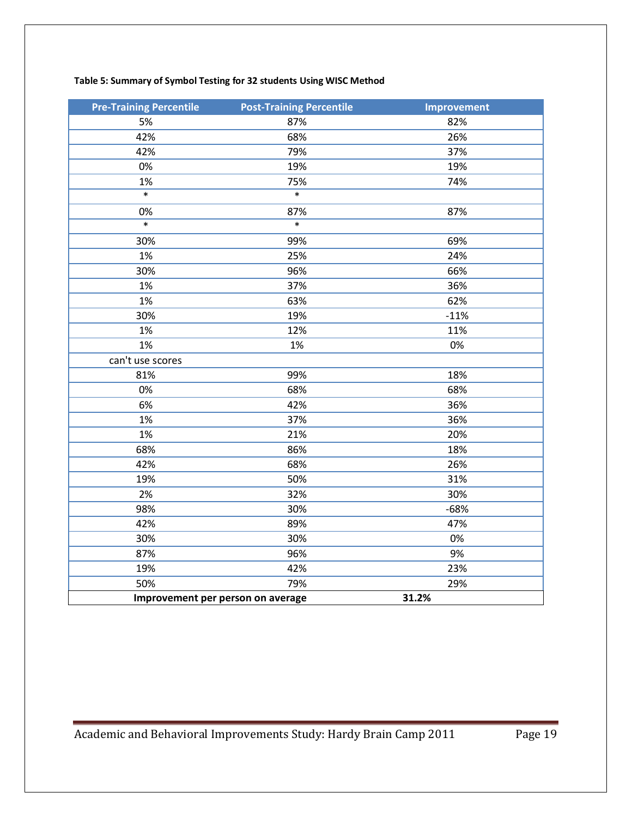<span id="page-18-0"></span>

| <b>Pre-Training Percentile</b>    | <b>Post-Training Percentile</b> | <b>Improvement</b> |
|-----------------------------------|---------------------------------|--------------------|
| 5%                                | 87%                             | 82%                |
| 42%                               | 68%                             | 26%                |
| 42%                               | 79%                             | 37%                |
| 0%                                | 19%                             | 19%                |
| 1%                                | 75%                             | 74%                |
| $\ast$                            | $\overline{\ast}$               |                    |
| 0%                                | 87%                             | 87%                |
| $\ast$                            | $\overline{\ast}$               |                    |
| 30%                               | 99%                             | 69%                |
| 1%                                | 25%                             | 24%                |
| 30%                               | 96%                             | 66%                |
| 1%                                | 37%                             | 36%                |
| 1%                                | 63%                             | 62%                |
| 30%                               | 19%                             | $-11%$             |
| 1%                                | 12%                             | 11%                |
| 1%                                | 1%                              | 0%                 |
| can't use scores                  |                                 |                    |
| 81%                               | 99%                             | 18%                |
| 0%                                | 68%                             | 68%                |
| 6%                                | 42%                             | 36%                |
| 1%                                | 37%                             | 36%                |
| 1%                                | 21%                             | 20%                |
| 68%                               | 86%                             | 18%                |
| 42%                               | 68%                             | 26%                |
| 19%                               | 50%                             | 31%                |
| 2%                                | 32%                             | 30%                |
| 98%                               | 30%                             | $-68%$             |
| 42%                               | 89%                             | 47%                |
| 30%                               | 30%                             | 0%                 |
| 87%                               | 96%                             | 9%                 |
| 19%                               | 42%                             | 23%                |
| 50%                               | 79%                             | 29%                |
| Improvement per person on average |                                 | 31.2%              |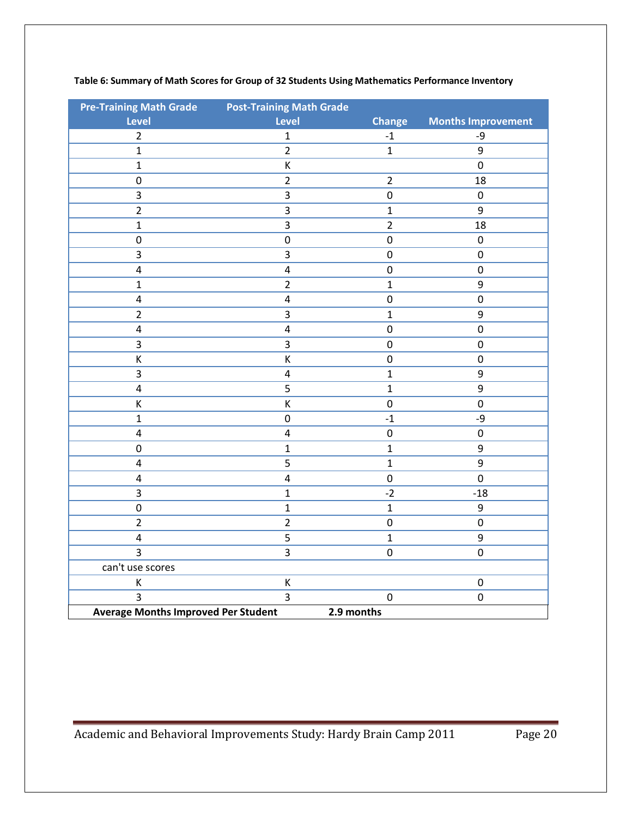| <b>Pre-Training Math Grade</b>             | <b>Post-Training Math Grade</b> |                  |                           |
|--------------------------------------------|---------------------------------|------------------|---------------------------|
| <b>Level</b>                               | <b>Level</b>                    | <b>Change</b>    | <b>Months Improvement</b> |
| $\overline{2}$                             | $\mathbf{1}$                    | $-1$             | -9                        |
| $\mathbf{1}$                               | $\overline{2}$                  | $\mathbf{1}$     | 9                         |
| $\mathbf{1}$                               | К                               |                  | $\boldsymbol{0}$          |
| $\pmb{0}$                                  | $\overline{2}$                  | $\overline{2}$   | 18                        |
| 3                                          | 3                               | $\pmb{0}$        | $\pmb{0}$                 |
| $\overline{2}$                             | $\overline{\mathbf{3}}$         | $\mathbf{1}$     | 9                         |
| $\mathbf{1}$                               | 3                               | $\overline{2}$   | 18                        |
| $\mathbf 0$                                | $\pmb{0}$                       | $\boldsymbol{0}$ | $\pmb{0}$                 |
| 3                                          | 3                               | $\mathbf 0$      | $\mathbf 0$               |
| $\overline{\mathbf{4}}$                    | $\overline{\mathbf{4}}$         | $\boldsymbol{0}$ | $\pmb{0}$                 |
| $\mathbf{1}$                               | $\overline{2}$                  | $\mathbf{1}$     | 9                         |
| $\overline{\mathbf{4}}$                    | $\overline{\mathbf{4}}$         | $\boldsymbol{0}$ | $\mathbf 0$               |
| $\overline{2}$                             | 3                               | $\mathbf{1}$     | $\boldsymbol{9}$          |
| $\overline{\mathbf{4}}$                    | $\overline{\mathbf{4}}$         | $\pmb{0}$        | $\pmb{0}$                 |
| 3                                          | $\overline{\mathbf{3}}$         | $\pmb{0}$        | $\pmb{0}$                 |
| Κ                                          | К                               | $\boldsymbol{0}$ | $\mathbf 0$               |
| 3                                          | $\overline{\mathbf{4}}$         | $\mathbf{1}$     | 9                         |
| $\overline{\mathbf{4}}$                    | $\overline{5}$                  | $\mathbf{1}$     | $\overline{9}$            |
| $\sf K$                                    | К                               | $\pmb{0}$        | $\pmb{0}$                 |
| $\mathbf{1}$                               | $\boldsymbol{0}$                | $^{\mbox{-}}1$   | -9                        |
| $\overline{\mathbf{4}}$                    | $\overline{4}$                  | $\pmb{0}$        | $\pmb{0}$                 |
| $\mathbf 0$                                | $\mathbf 1$                     | $\mathbf{1}$     | 9                         |
| $\overline{\mathbf{4}}$                    | 5                               | $\mathbf{1}$     | 9                         |
| $\overline{\mathbf{4}}$                    | $\overline{\mathbf{4}}$         | $\mathbf 0$      | $\overline{0}$            |
| $\overline{3}$                             | $\mathbf{1}$                    | $-2$             | $-18$                     |
| $\mathbf 0$                                | $\mathbf{1}$                    | $\mathbf{1}$     | 9                         |
| $\overline{2}$                             | $\overline{2}$                  | $\pmb{0}$        | $\pmb{0}$                 |
| $\pmb{4}$                                  | 5                               | $\mathbf 1$      | $\boldsymbol{9}$          |
| $\overline{3}$                             | $\overline{3}$                  | $\pmb{0}$        | $\boldsymbol{0}$          |
| can't use scores                           |                                 |                  |                           |
| К                                          | К                               |                  | $\pmb{0}$                 |
| $\overline{3}$                             | $\overline{3}$                  | $\pmb{0}$        | $\mathbf 0$               |
| <b>Average Months Improved Per Student</b> | 2.9 months                      |                  |                           |

#### <span id="page-19-0"></span>**Table 6: Summary of Math Scores for Group of 32 Students Using Mathematics Performance Inventory**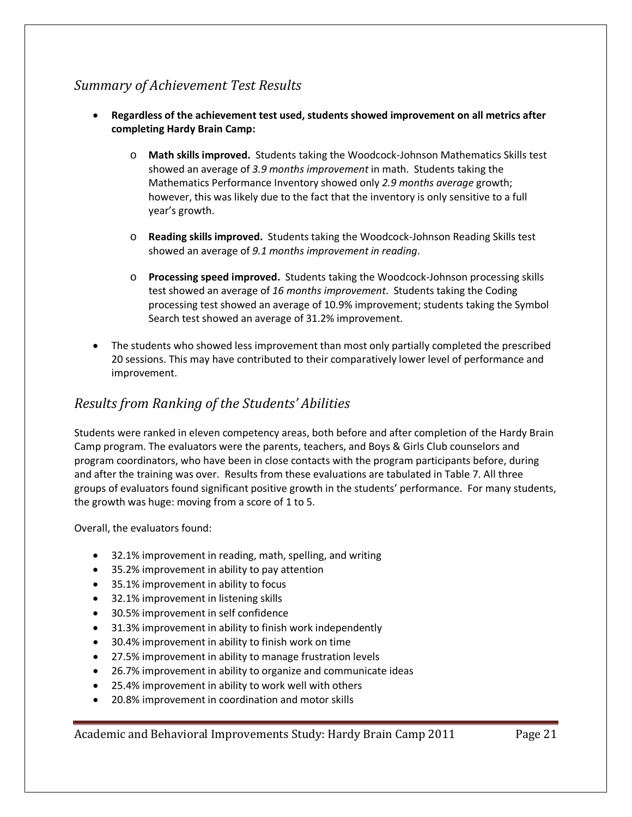## <span id="page-20-0"></span>*Summary of Achievement Test Results*

- **Regardless of the achievement test used, students showed improvement on all metrics after completing Hardy Brain Camp:**
	- o **Math skills improved.** Students taking the Woodcock-Johnson Mathematics Skills test showed an average of *3.9 months improvement* in math. Students taking the Mathematics Performance Inventory showed only *2.9 months average* growth; however, this was likely due to the fact that the inventory is only sensitive to a full year's growth.
	- o **Reading skills improved.** Students taking the Woodcock-Johnson Reading Skills test showed an average of *9.1 months improvement in reading*.
	- o **Processing speed improved.** Students taking the Woodcock-Johnson processing skills test showed an average of *16 months improvement*. Students taking the Coding processing test showed an average of 10.9% improvement; students taking the Symbol Search test showed an average of 31.2% improvement.
- The students who showed less improvement than most only partially completed the prescribed 20 sessions. This may have contributed to their comparatively lower level of performance and improvement.

### <span id="page-20-1"></span>*Results from Ranking of the Students' Abilities*

Students were ranked in eleven competency areas, both before and after completion of the Hardy Brain Camp program. The evaluators were the parents, teachers, and Boys & Girls Club counselors and program coordinators, who have been in close contacts with the program participants before, during and after the training was over. Results from these evaluations are tabulated in [Table 7.](#page-21-0) All three groups of evaluators found significant positive growth in the students' performance. For many students, the growth was huge: moving from a score of 1 to 5.

Overall, the evaluators found:

- 32.1% improvement in reading, math, spelling, and writing
- 35.2% improvement in ability to pay attention
- 35.1% improvement in ability to focus
- 32.1% improvement in listening skills
- 30.5% improvement in self confidence
- 31.3% improvement in ability to finish work independently
- 30.4% improvement in ability to finish work on time
- 27.5% improvement in ability to manage frustration levels
- 26.7% improvement in ability to organize and communicate ideas
- 25.4% improvement in ability to work well with others
- 20.8% improvement in coordination and motor skills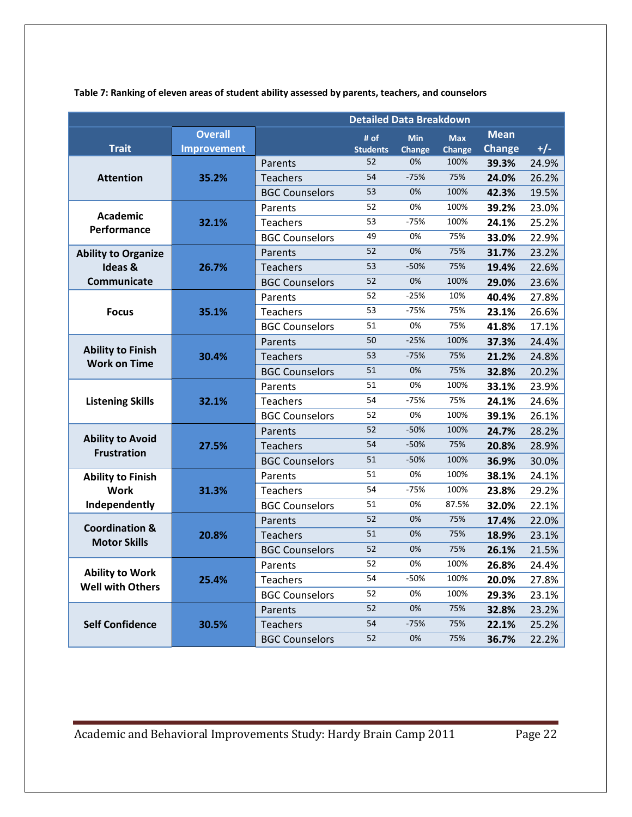|                                                   | <b>Detailed Data Breakdown</b> |                       |                 |               |               |               |       |
|---------------------------------------------------|--------------------------------|-----------------------|-----------------|---------------|---------------|---------------|-------|
|                                                   | <b>Overall</b>                 |                       | # of            | <b>Min</b>    | <b>Max</b>    | <b>Mean</b>   |       |
| <b>Trait</b>                                      | <b>Improvement</b>             |                       | <b>Students</b> | <b>Change</b> | <b>Change</b> | <b>Change</b> | $+/-$ |
|                                                   |                                | Parents               | 52              | 0%            | 100%          | 39.3%         | 24.9% |
| <b>Attention</b>                                  | 35.2%                          | <b>Teachers</b>       | 54              | $-75%$        | 75%           | 24.0%         | 26.2% |
|                                                   |                                | <b>BGC Counselors</b> | 53              | 0%            | 100%          | 42.3%         | 19.5% |
|                                                   |                                | Parents               | 52              | 0%            | 100%          | 39.2%         | 23.0% |
| <b>Academic</b><br>Performance                    | 32.1%                          | Teachers              | 53              | $-75%$        | 100%          | 24.1%         | 25.2% |
|                                                   |                                | <b>BGC Counselors</b> | 49              | 0%            | 75%           | 33.0%         | 22.9% |
| <b>Ability to Organize</b>                        |                                | Parents               | 52              | 0%            | 75%           | 31.7%         | 23.2% |
| Ideas &                                           | 26.7%                          | <b>Teachers</b>       | 53              | $-50%$        | 75%           | 19.4%         | 22.6% |
| Communicate                                       |                                | <b>BGC Counselors</b> | 52              | 0%            | 100%          | 29.0%         | 23.6% |
|                                                   |                                | Parents               | 52              | $-25%$        | 10%           | 40.4%         | 27.8% |
| <b>Focus</b>                                      | 35.1%                          | <b>Teachers</b>       | 53              | $-75%$        | 75%           | 23.1%         | 26.6% |
|                                                   |                                | <b>BGC Counselors</b> | 51              | 0%            | 75%           | 41.8%         | 17.1% |
|                                                   |                                | Parents               | 50              | $-25%$        | 100%          | 37.3%         | 24.4% |
| <b>Ability to Finish</b><br><b>Work on Time</b>   | 30.4%                          | <b>Teachers</b>       | 53              | $-75%$        | 75%           | 21.2%         | 24.8% |
|                                                   |                                | <b>BGC Counselors</b> | 51              | 0%            | 75%           | 32.8%         | 20.2% |
|                                                   |                                | Parents               | 51              | 0%            | 100%          | 33.1%         | 23.9% |
| <b>Listening Skills</b>                           | 32.1%                          | <b>Teachers</b>       | 54              | $-75%$        | 75%           | 24.1%         | 24.6% |
|                                                   |                                | <b>BGC Counselors</b> | 52              | 0%            | 100%          | 39.1%         | 26.1% |
|                                                   |                                | Parents               | 52              | $-50%$        | 100%          | 24.7%         | 28.2% |
| <b>Ability to Avoid</b><br><b>Frustration</b>     | 27.5%                          | <b>Teachers</b>       | 54              | $-50%$        | 75%           | 20.8%         | 28.9% |
|                                                   |                                | <b>BGC Counselors</b> | 51              | $-50%$        | 100%          | 36.9%         | 30.0% |
| <b>Ability to Finish</b>                          |                                | Parents               | 51              | 0%            | 100%          | 38.1%         | 24.1% |
| <b>Work</b>                                       | 31.3%                          | <b>Teachers</b>       | 54              | $-75%$        | 100%          | 23.8%         | 29.2% |
| Independently                                     |                                | <b>BGC Counselors</b> | 51              | 0%            | 87.5%         | 32.0%         | 22.1% |
| <b>Coordination &amp;</b>                         |                                | Parents               | 52              | 0%            | 75%           | 17.4%         | 22.0% |
| <b>Motor Skills</b>                               | 20.8%                          | <b>Teachers</b>       | 51              | 0%            | 75%           | 18.9%         | 23.1% |
|                                                   |                                | <b>BGC Counselors</b> | 52              | 0%            | 75%           | 26.1%         | 21.5% |
|                                                   |                                | Parents               | 52              | 0%            | 100%          | 26.8%         | 24.4% |
| <b>Ability to Work</b><br><b>Well with Others</b> | 25.4%                          | <b>Teachers</b>       | 54              | $-50%$        | 100%          | 20.0%         | 27.8% |
|                                                   |                                | <b>BGC Counselors</b> | 52              | 0%            | 100%          | 29.3%         | 23.1% |
|                                                   |                                | Parents               | 52              | 0%            | 75%           | 32.8%         | 23.2% |
| <b>Self Confidence</b>                            | 30.5%                          | <b>Teachers</b>       | 54              | $-75%$        | 75%           | 22.1%         | 25.2% |
|                                                   |                                | <b>BGC Counselors</b> | 52              | 0%            | 75%           | 36.7%         | 22.2% |

<span id="page-21-0"></span>**Table 7: Ranking of eleven areas of student ability assessed by parents, teachers, and counselors**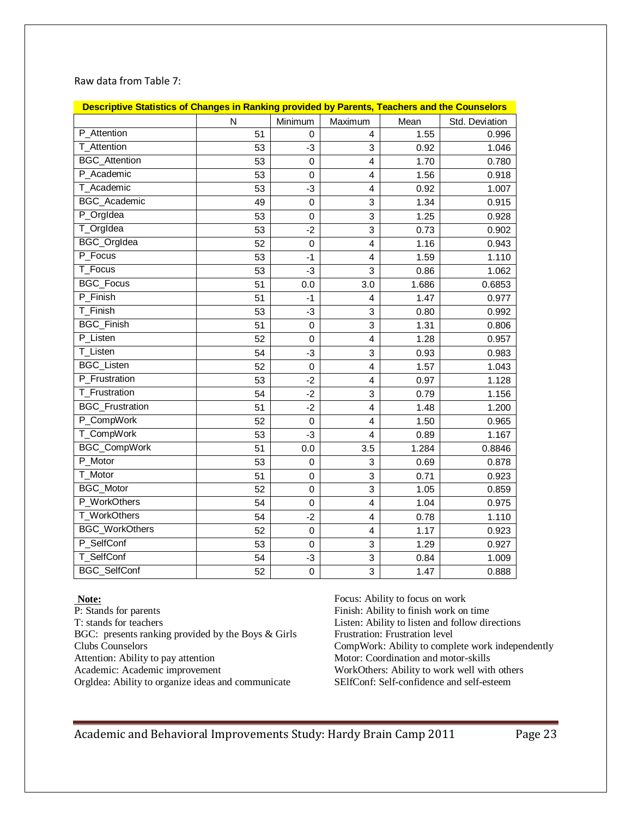| Raw data from Table 7: |  |
|------------------------|--|
|------------------------|--|

| Descriptive Statistics of Changes in Ranking provided by Parents, Teachers and the Counselors |    |                  |                         |       |                |
|-----------------------------------------------------------------------------------------------|----|------------------|-------------------------|-------|----------------|
|                                                                                               | N  | Minimum          | Maximum                 | Mean  | Std. Deviation |
| P_Attention                                                                                   | 51 | 0                | 4                       | 1.55  | 0.996          |
| T_Attention                                                                                   | 53 | $-3$             | 3                       | 0.92  | 1.046          |
| <b>BGC</b> Attention                                                                          | 53 | $\mathbf 0$      | $\overline{\mathbf{4}}$ | 1.70  | 0.780          |
| P Academic                                                                                    | 53 | $\mathbf 0$      | 4                       | 1.56  | 0.918          |
| T_Academic                                                                                    | 53 | $-3$             | $\overline{\mathbf{4}}$ | 0.92  | 1.007          |
| <b>BGC_Academic</b>                                                                           | 49 | $\mathbf 0$      | 3                       | 1.34  | 0.915          |
| P_OrgIdea                                                                                     | 53 | $\boldsymbol{0}$ | 3                       | 1.25  | 0.928          |
| T_OrgIdea                                                                                     | 53 | $-2$             | 3                       | 0.73  | 0.902          |
| BGC_OrgIdea                                                                                   | 52 | $\boldsymbol{0}$ | $\overline{\mathbf{4}}$ | 1.16  | 0.943          |
| P_Focus                                                                                       | 53 | $-1$             | 4                       | 1.59  | 1.110          |
| T_Focus                                                                                       | 53 | $-3$             | 3                       | 0.86  | 1.062          |
| <b>BGC Focus</b>                                                                              | 51 | 0.0              | 3.0                     | 1.686 | 0.6853         |
| P Finish                                                                                      | 51 | $-1$             | 4                       | 1.47  | 0.977          |
| T_Finish                                                                                      | 53 | -3               | 3                       | 0.80  | 0.992          |
| <b>BGC</b> Finish                                                                             | 51 | $\mathbf 0$      | 3                       | 1.31  | 0.806          |
| P_Listen                                                                                      | 52 | 0                | $\overline{4}$          | 1.28  | 0.957          |
| T_Listen                                                                                      | 54 | -3               | 3                       | 0.93  | 0.983          |
| <b>BGC_Listen</b>                                                                             | 52 | $\mathbf 0$      | 4                       | 1.57  | 1.043          |
| P_Frustration                                                                                 | 53 | $-2$             | $\overline{4}$          | 0.97  | 1.128          |
| T_Frustration                                                                                 | 54 | $-2$             | 3                       | 0.79  | 1.156          |
| <b>BGC_Frustration</b>                                                                        | 51 | $-2$             | $\overline{\mathbf{4}}$ | 1.48  | 1.200          |
| P_CompWork                                                                                    | 52 | $\boldsymbol{0}$ | $\overline{\mathbf{4}}$ | 1.50  | 0.965          |
| T_CompWork                                                                                    | 53 | $-3$             | 4                       | 0.89  | 1.167          |
| <b>BGC_CompWork</b>                                                                           | 51 | 0.0              | 3.5                     | 1.284 | 0.8846         |
| P_Motor                                                                                       | 53 | $\mathbf 0$      | 3                       | 0.69  | 0.878          |
| T_Motor                                                                                       | 51 | $\mathbf 0$      | 3                       | 0.71  | 0.923          |
| <b>BGC_Motor</b>                                                                              | 52 | $\mathbf 0$      | 3                       | 1.05  | 0.859          |
| P_WorkOthers                                                                                  | 54 | $\boldsymbol{0}$ | $\overline{\mathbf{4}}$ | 1.04  | 0.975          |
| T_WorkOthers                                                                                  | 54 | $-2$             | 4                       | 0.78  | 1.110          |
| <b>BGC_WorkOthers</b>                                                                         | 52 | 0                | 4                       | 1.17  | 0.923          |
| P_SelfConf                                                                                    | 53 | $\mathbf 0$      | 3                       | 1.29  | 0.927          |
| T_SelfConf                                                                                    | 54 | $-3$             | 3                       | 0.84  | 1.009          |
| <b>BGC SelfConf</b>                                                                           | 52 | $\mathbf 0$      | 3                       | 1.47  | 0.888          |

#### **Note:**

P: Stands for parents T: stands for teachers BGC: presents ranking provided by the Boys & Girls Clubs Counselors Attention: Ability to pay attention Academic: Academic improvement Orgldea: Ability to organize ideas and communicate

Focus: Ability to focus on work Finish: Ability to finish work on time Listen: Ability to listen and follow directions Frustration: Frustration level CompWork: Ability to complete work independently Motor: Coordination and motor-skills WorkOthers: Ability to work well with others SElfConf: Self-confidence and self-esteem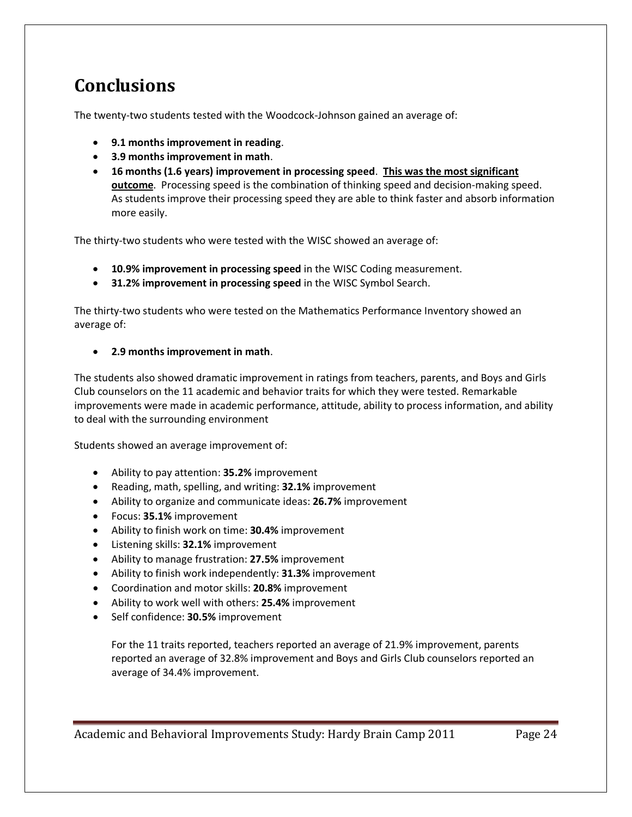# <span id="page-23-0"></span>**Conclusions**

The twenty-two students tested with the Woodcock-Johnson gained an average of:

- **9.1 months improvement in reading**.
- **3.9 months improvement in math**.
- **16 months (1.6 years) improvement in processing speed**. **This was the most significant outcome**. Processing speed is the combination of thinking speed and decision-making speed. As students improve their processing speed they are able to think faster and absorb information more easily.

The thirty-two students who were tested with the WISC showed an average of:

- **10.9% improvement in processing speed** in the WISC Coding measurement.
- **31.2% improvement in processing speed** in the WISC Symbol Search.

The thirty-two students who were tested on the Mathematics Performance Inventory showed an average of:

• **2.9 months improvement in math**.

The students also showed dramatic improvement in ratings from teachers, parents, and Boys and Girls Club counselors on the 11 academic and behavior traits for which they were tested. Remarkable improvements were made in academic performance, attitude, ability to process information, and ability to deal with the surrounding environment

Students showed an average improvement of:

- Ability to pay attention: **35.2%** improvement
- Reading, math, spelling, and writing: **32.1%** improvement
- Ability to organize and communicate ideas: **26.7%** improvement
- Focus: **35.1%** improvement
- Ability to finish work on time: **30.4%** improvement
- Listening skills: **32.1%** improvement
- Ability to manage frustration: **27.5%** improvement
- Ability to finish work independently: **31.3%** improvement
- Coordination and motor skills: **20.8%** improvement
- Ability to work well with others: **25.4%** improvement
- Self confidence: **30.5%** improvement

For the 11 traits reported, teachers reported an average of 21.9% improvement, parents reported an average of 32.8% improvement and Boys and Girls Club counselors reported an average of 34.4% improvement.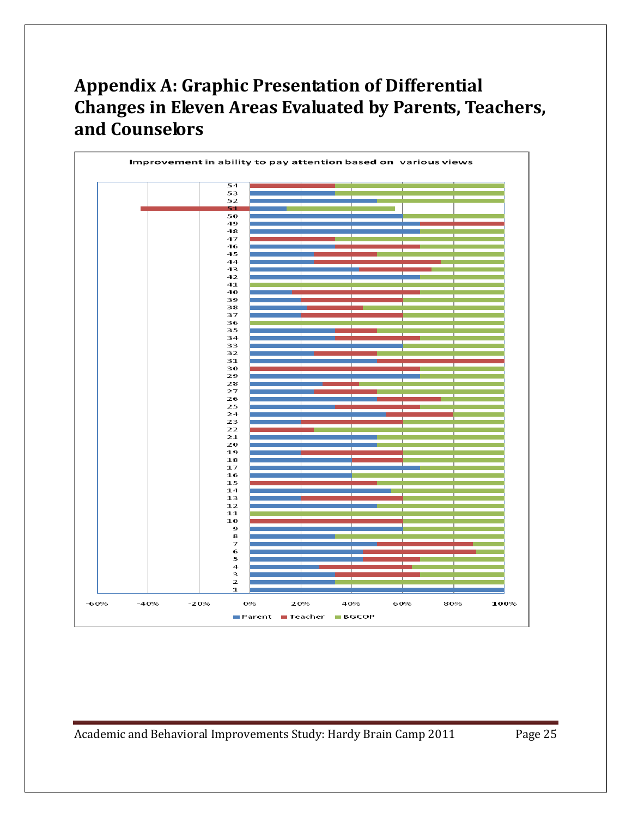# <span id="page-24-0"></span>**Appendix A: Graphic Presentation of Differential Changes in Eleven Areas Evaluated by Parents, Teachers, and Counselors**

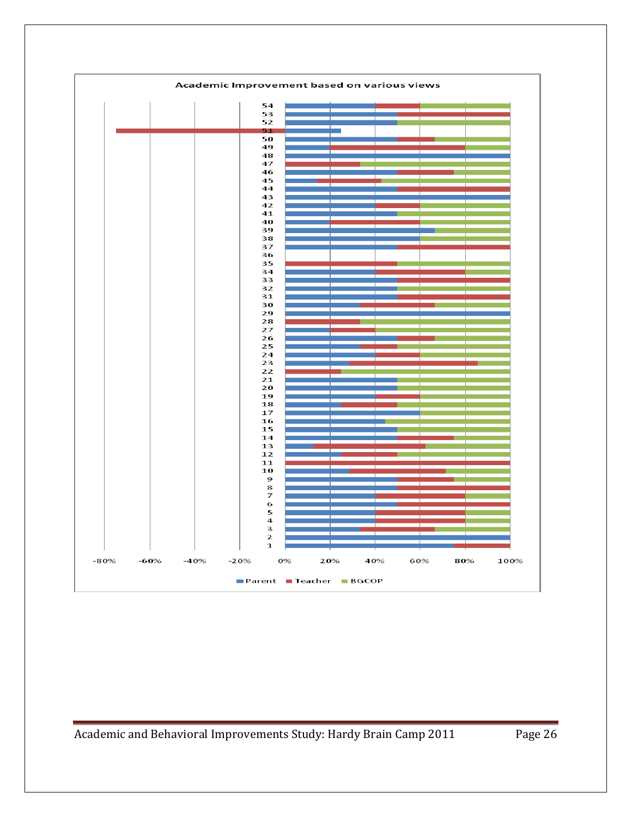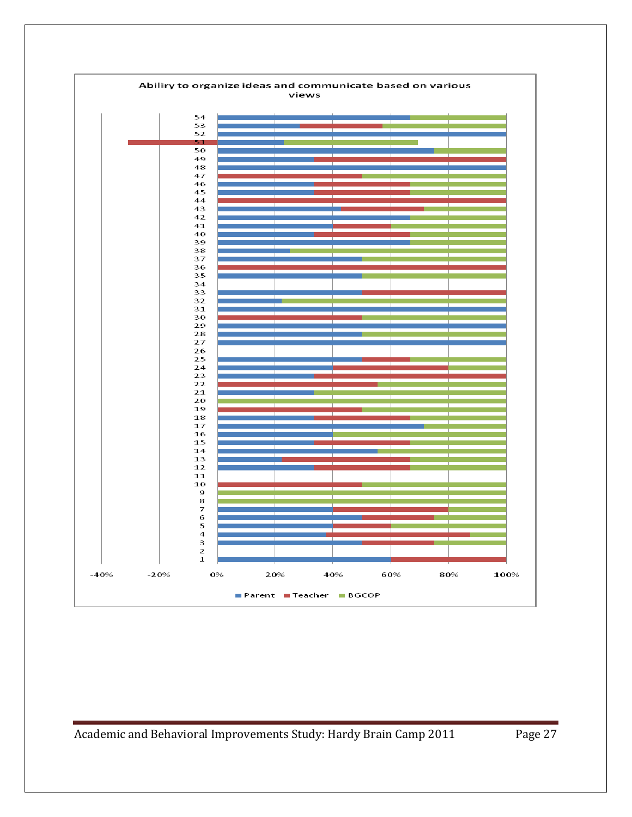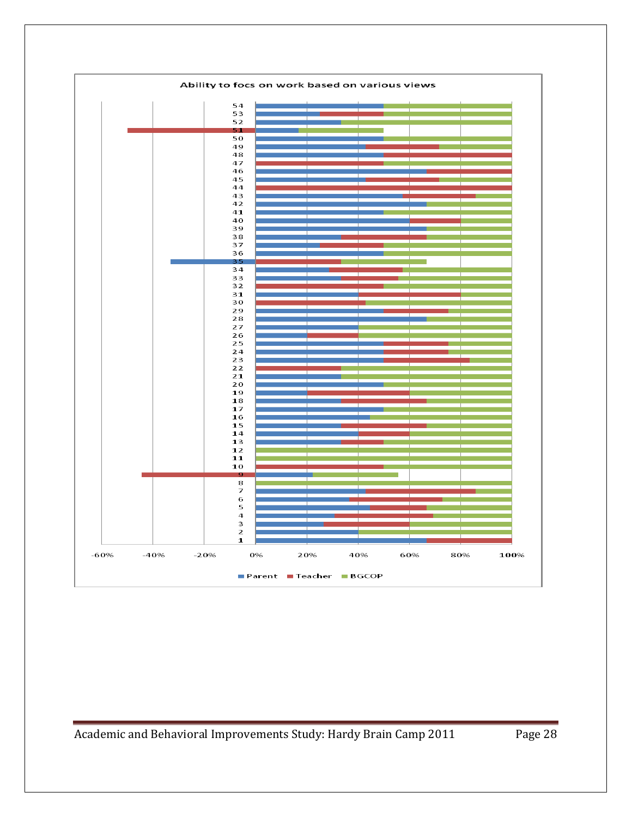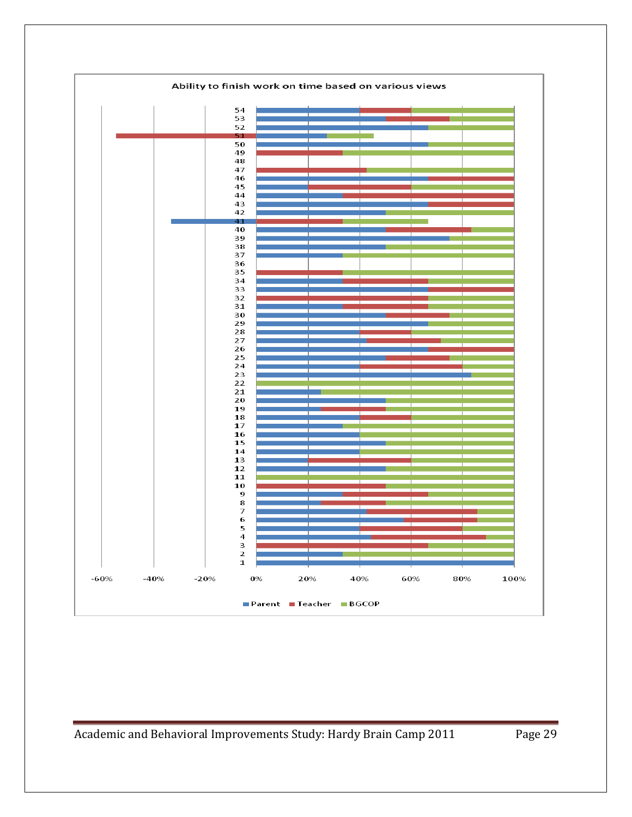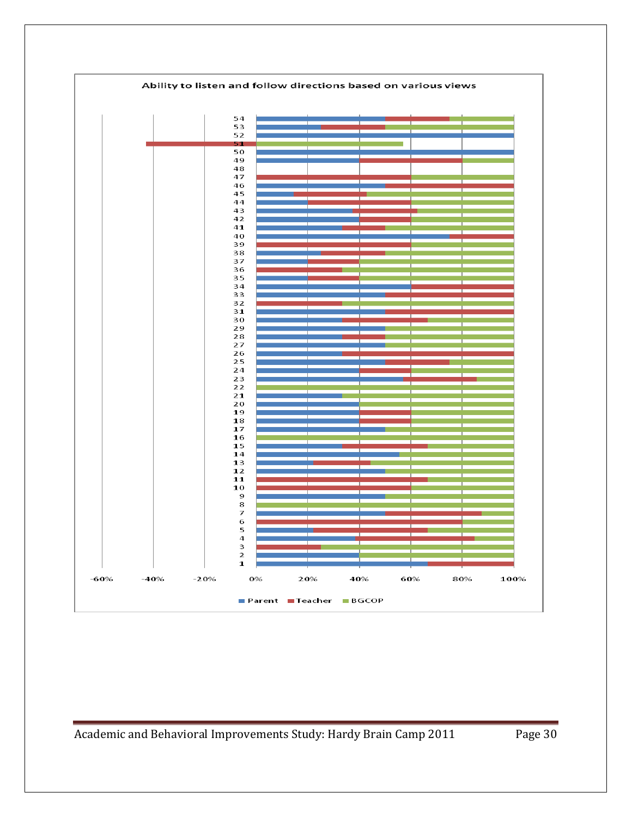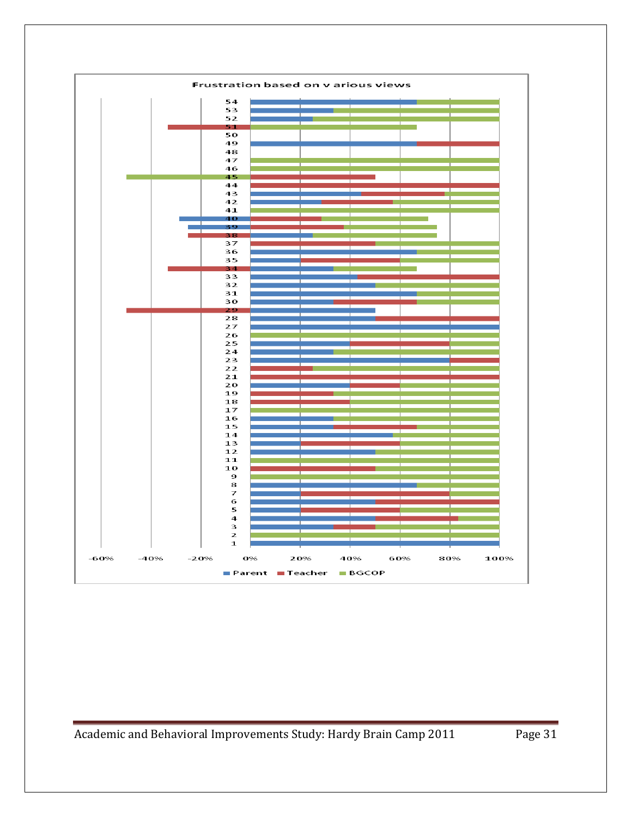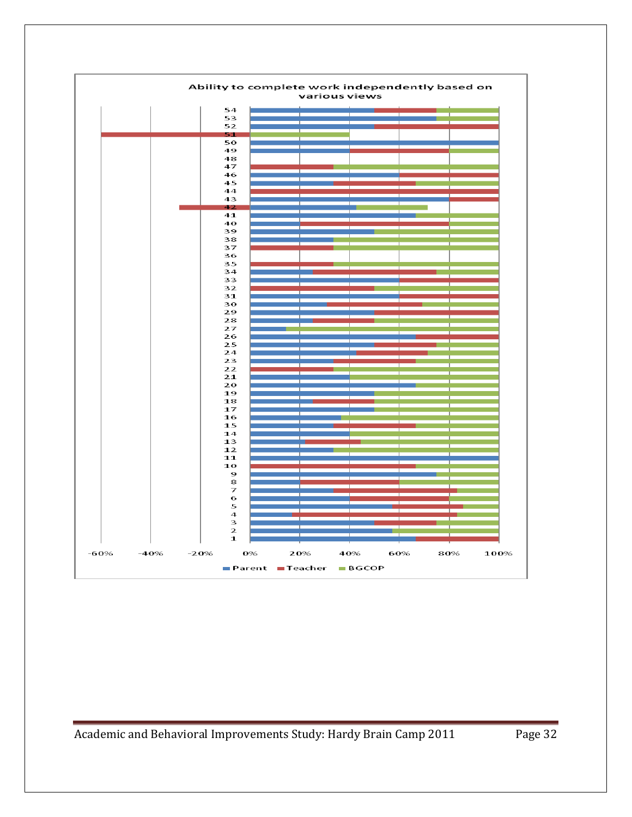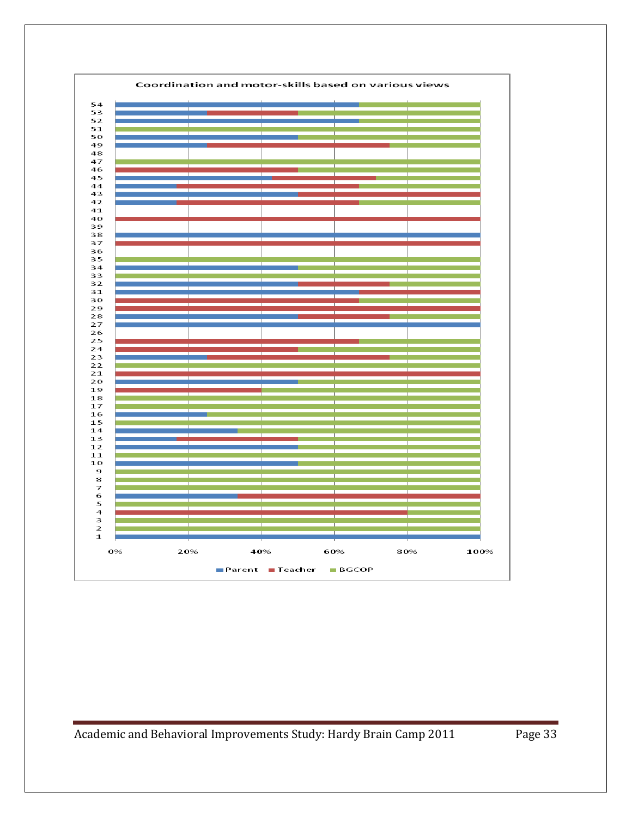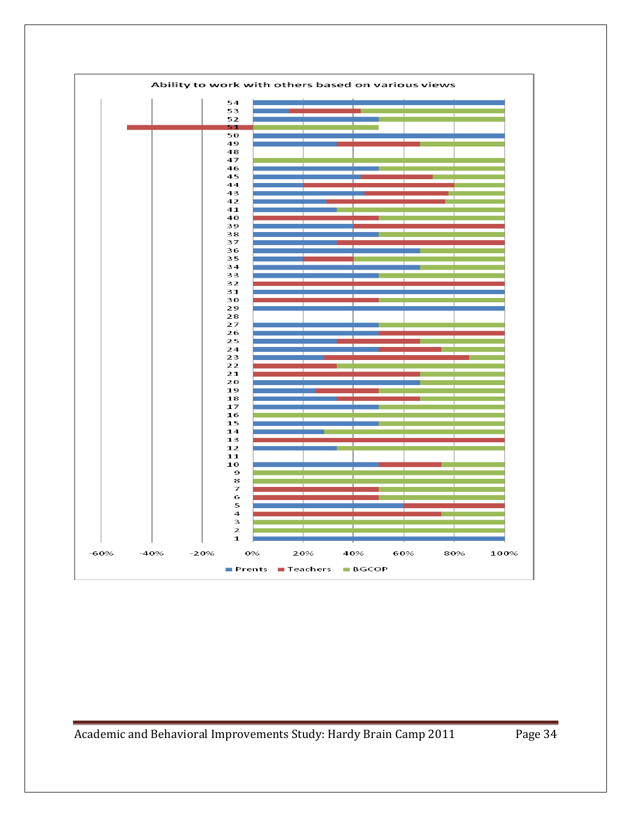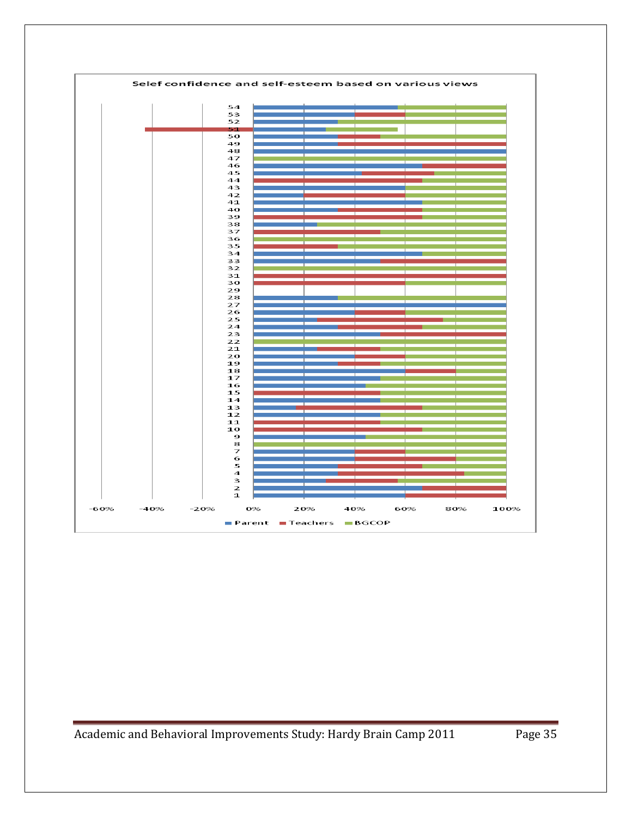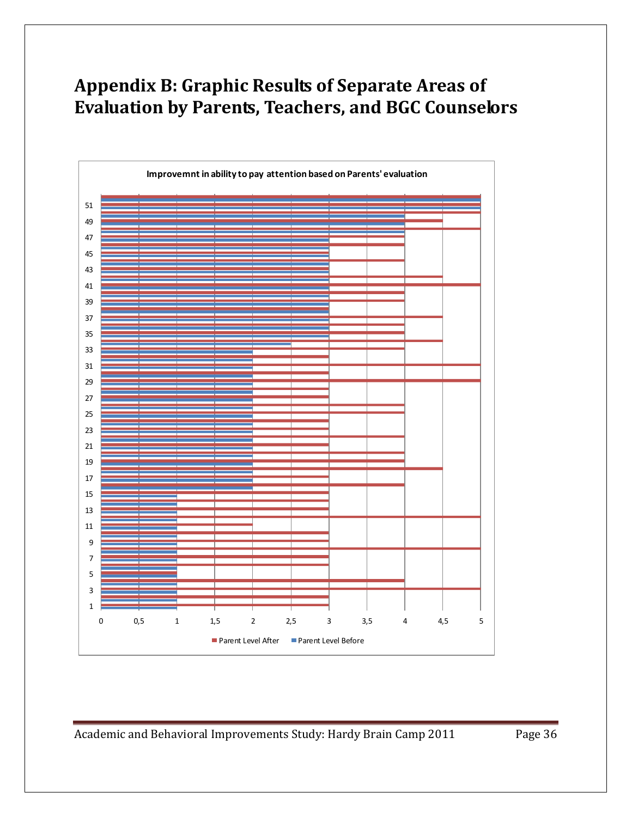# <span id="page-35-0"></span>**Appendix B: Graphic Results of Separate Areas of Evaluation by Parents, Teachers, and BGC Counselors**

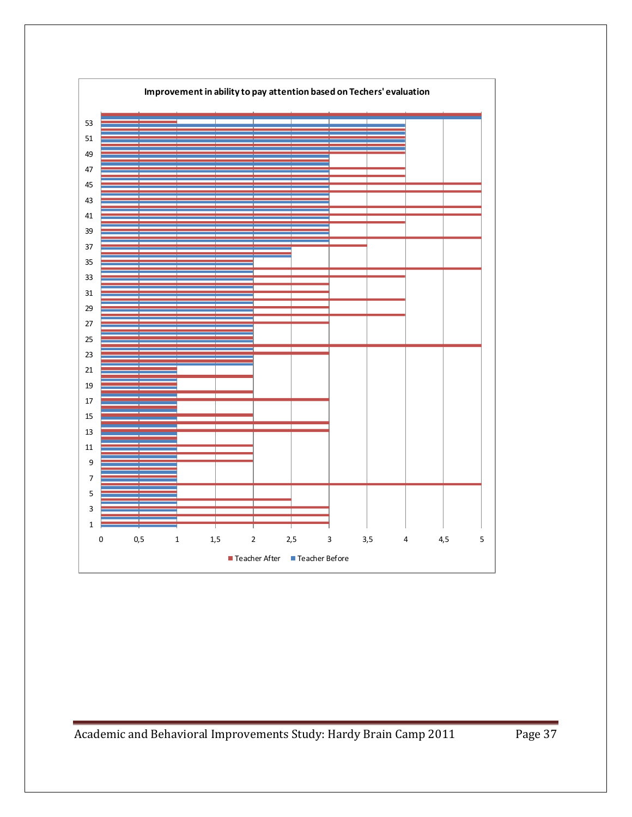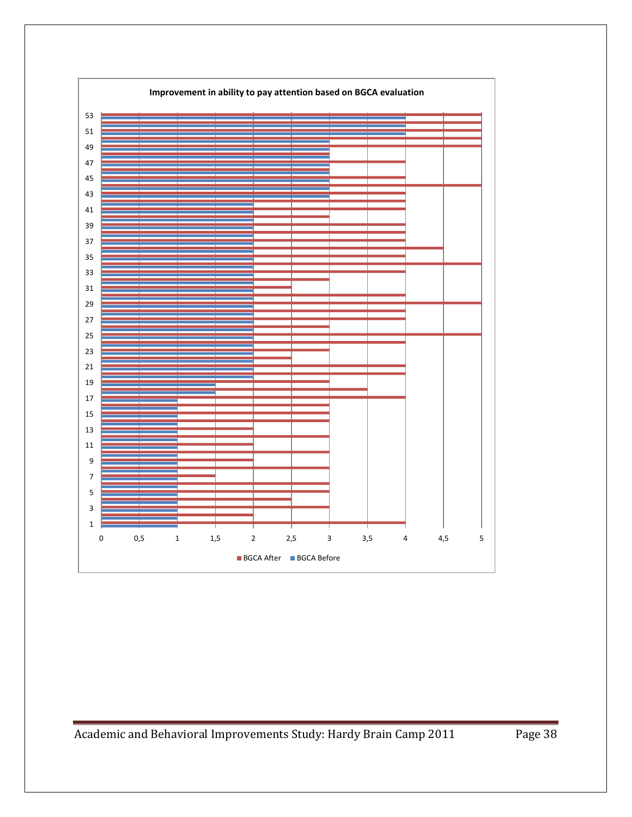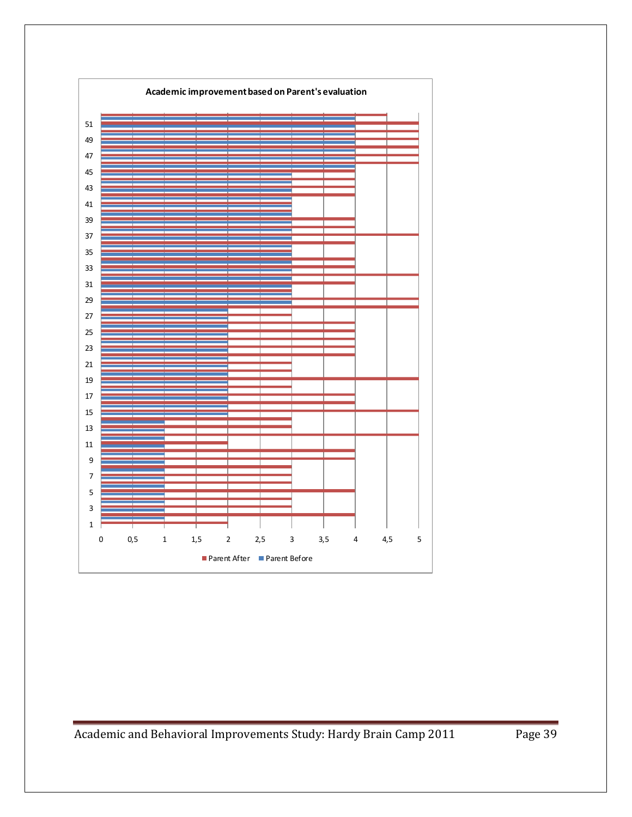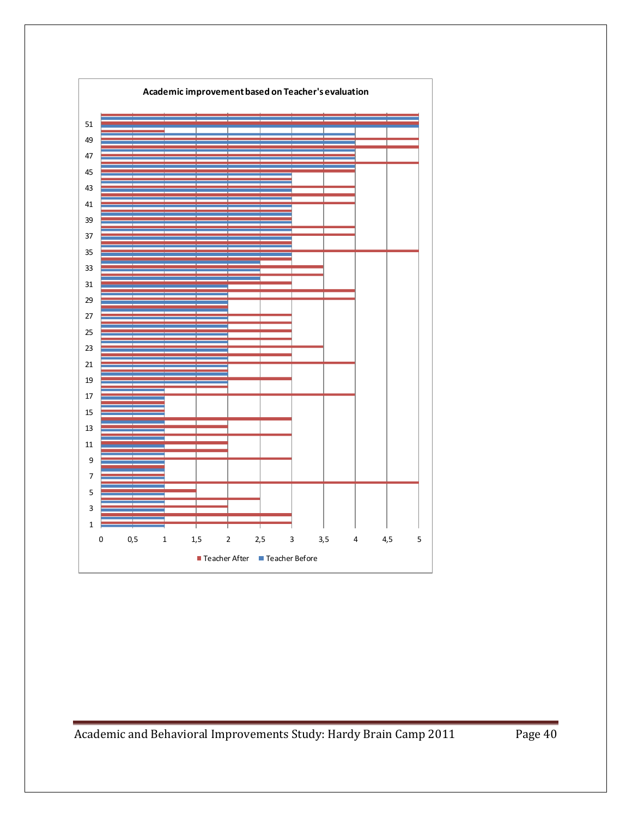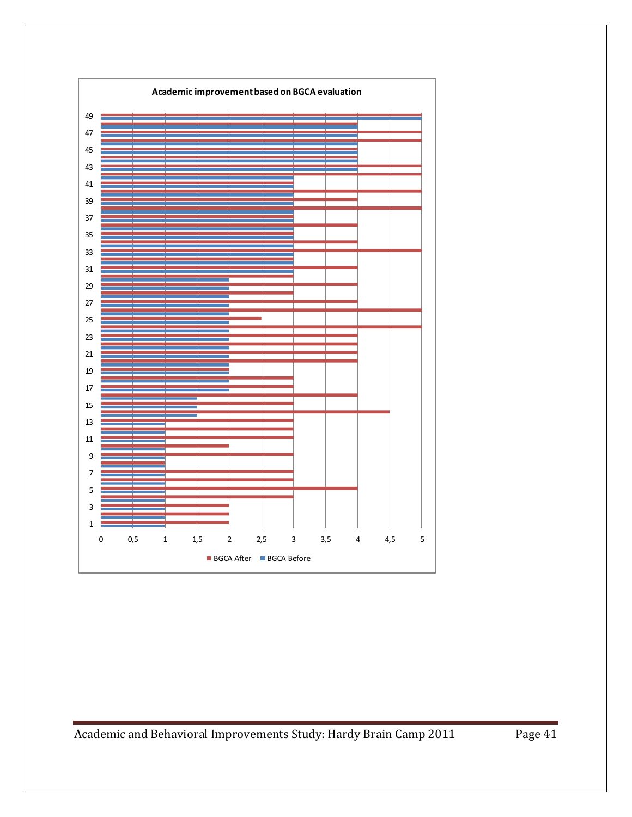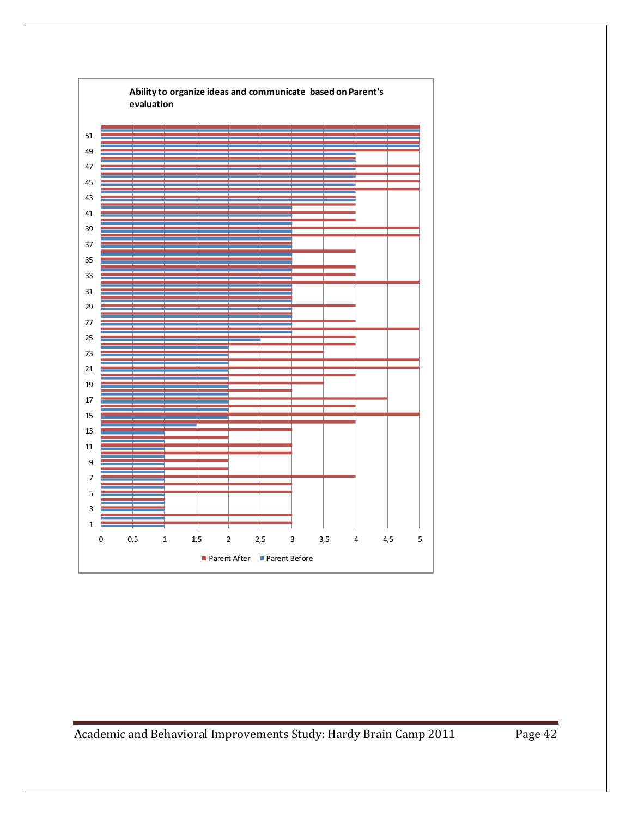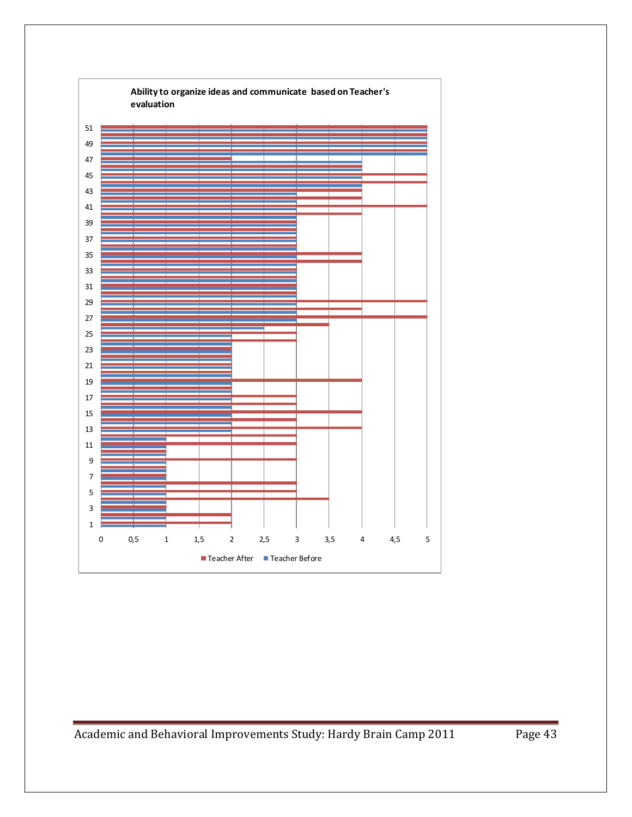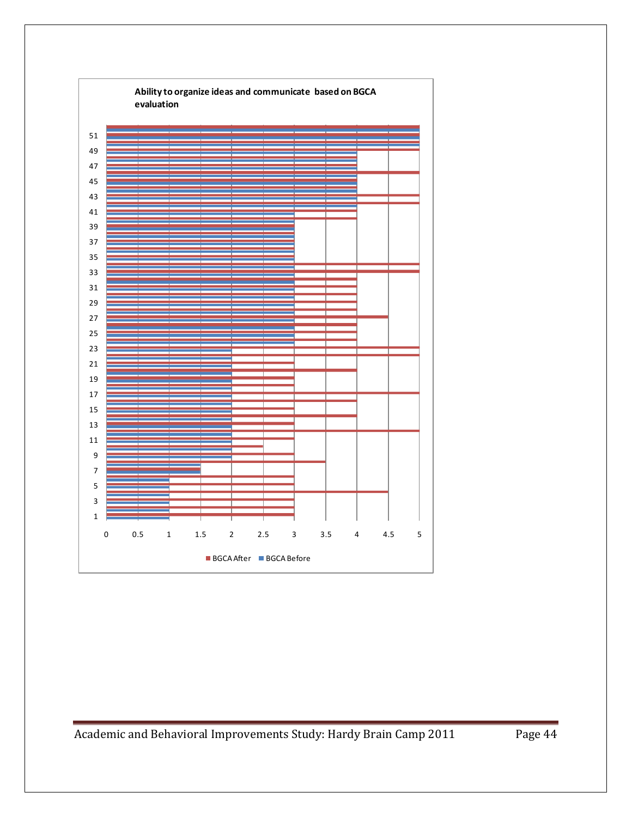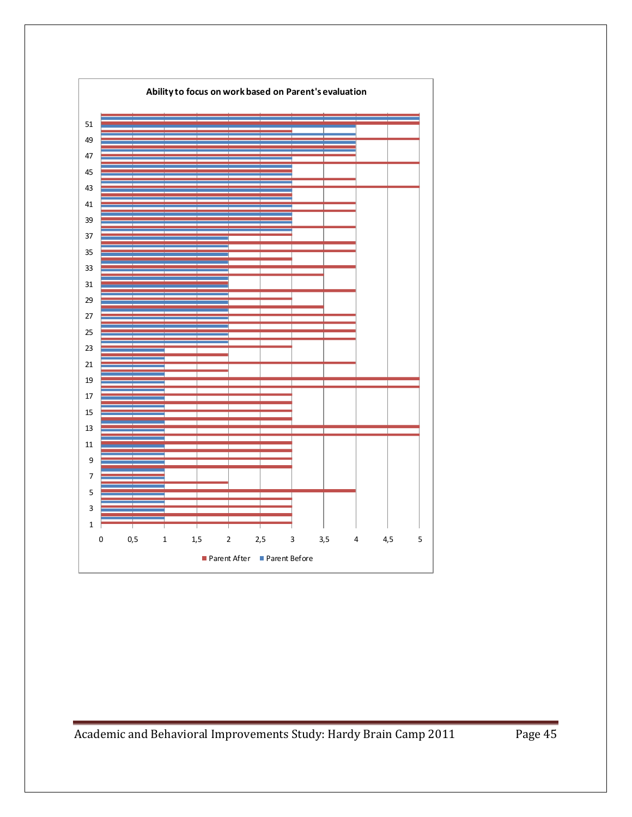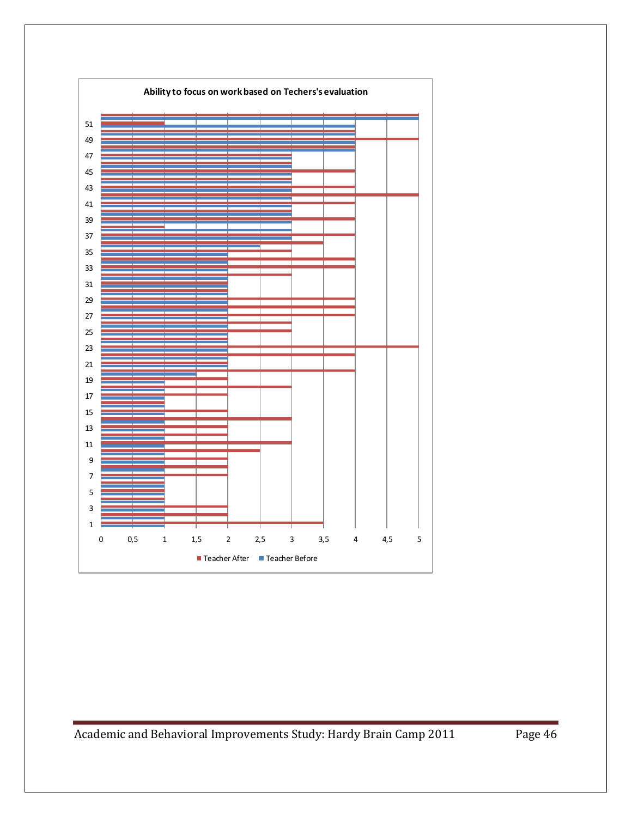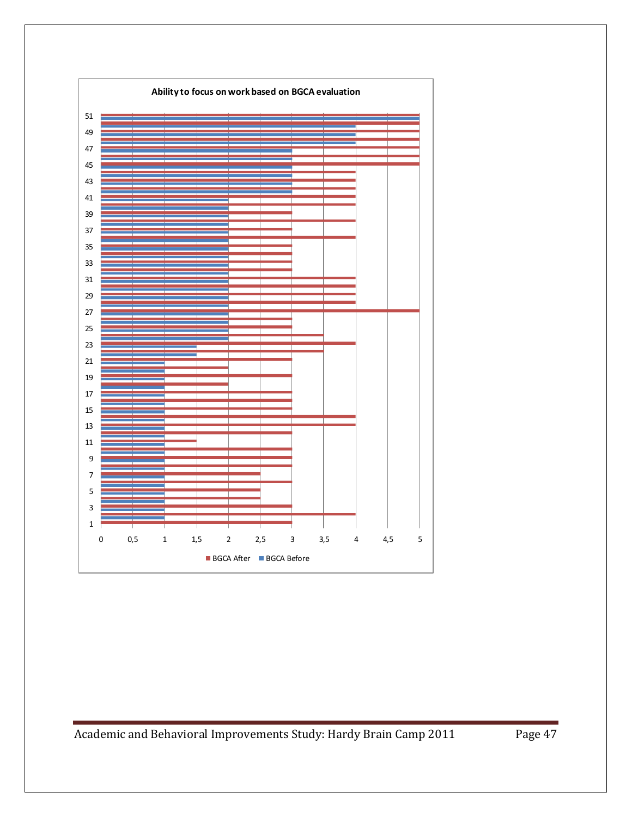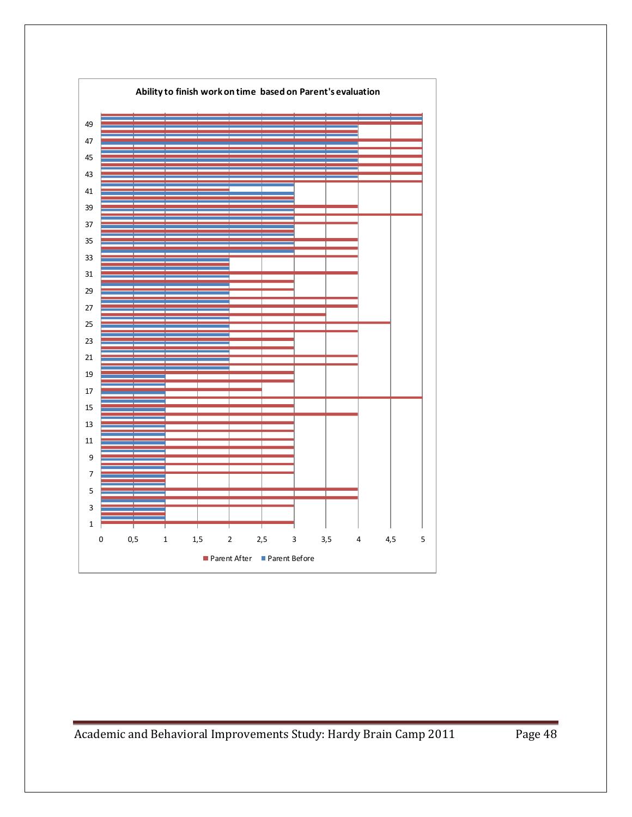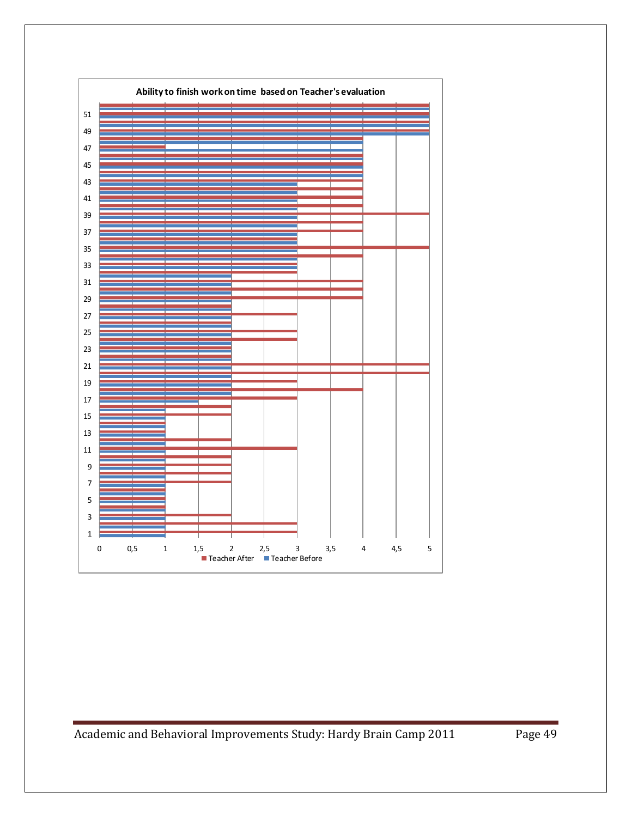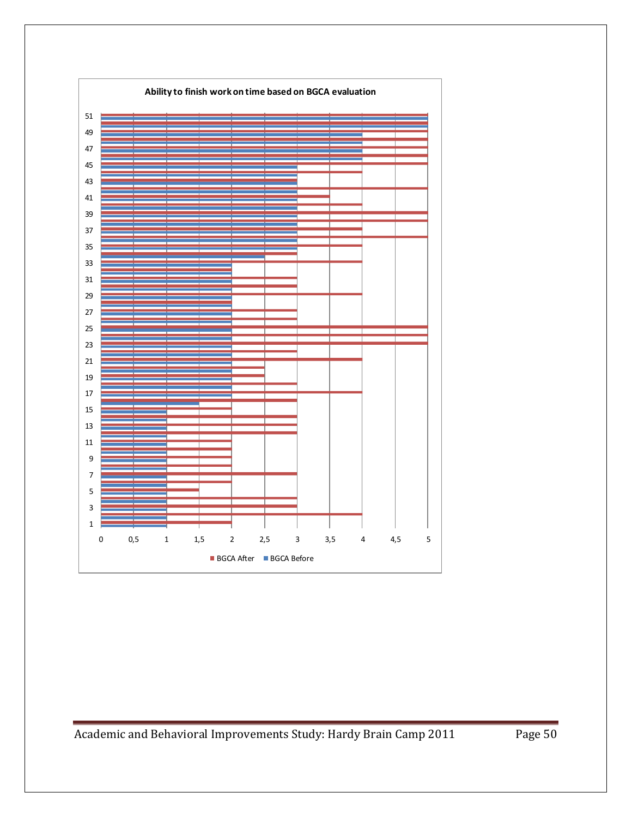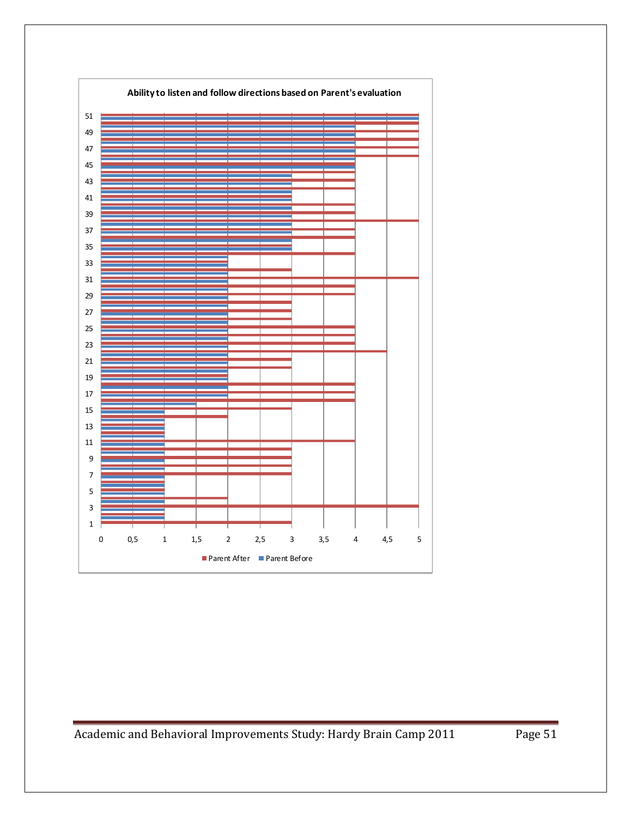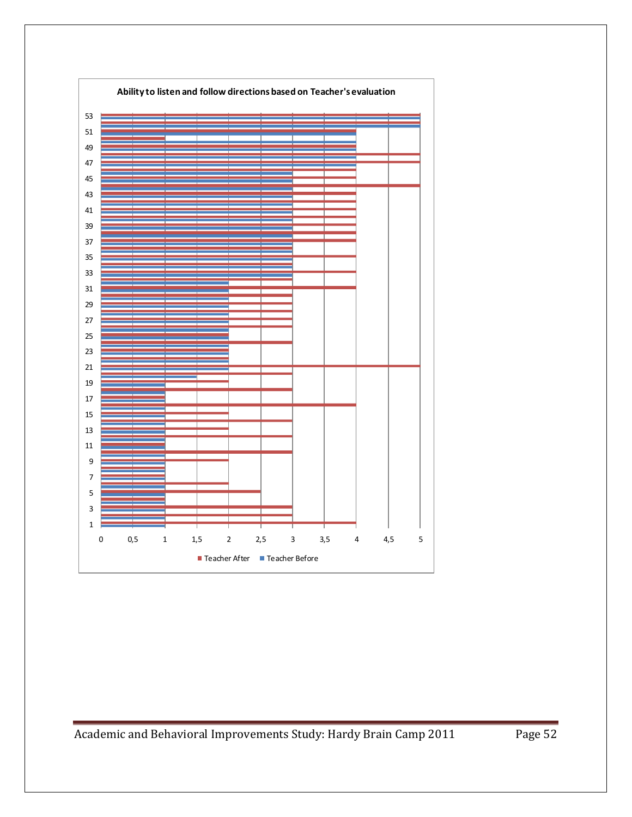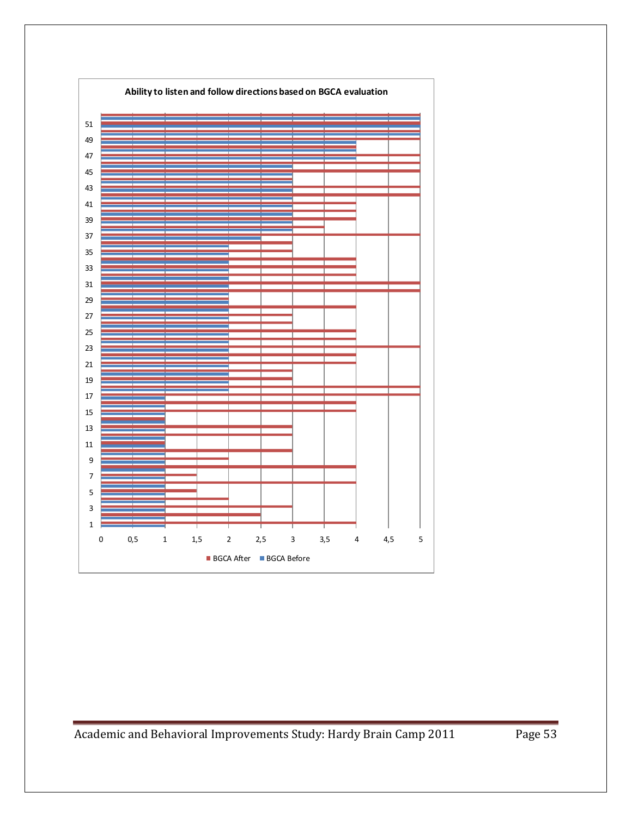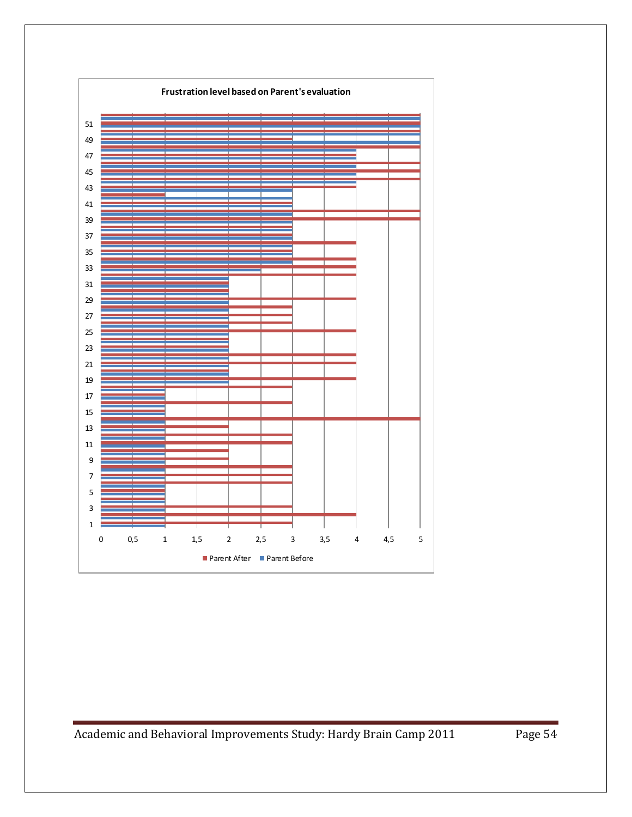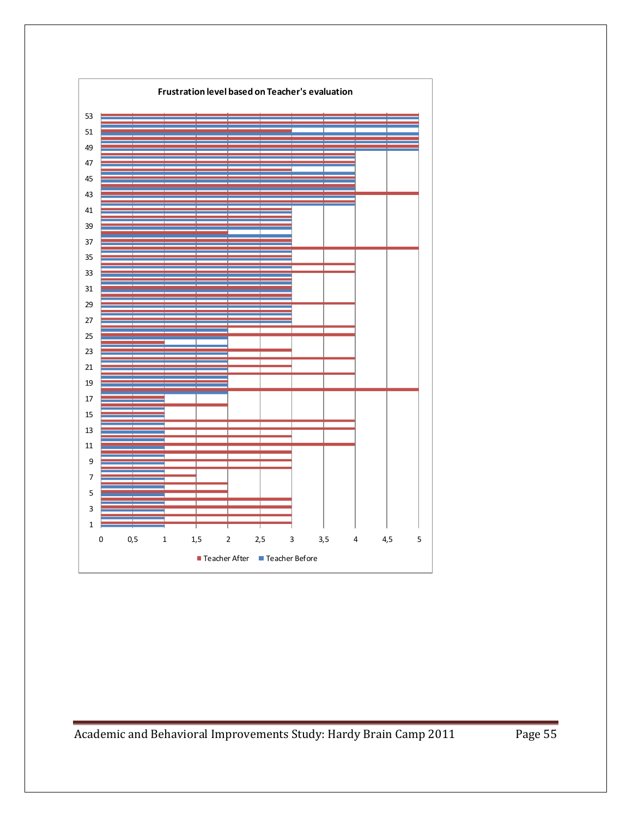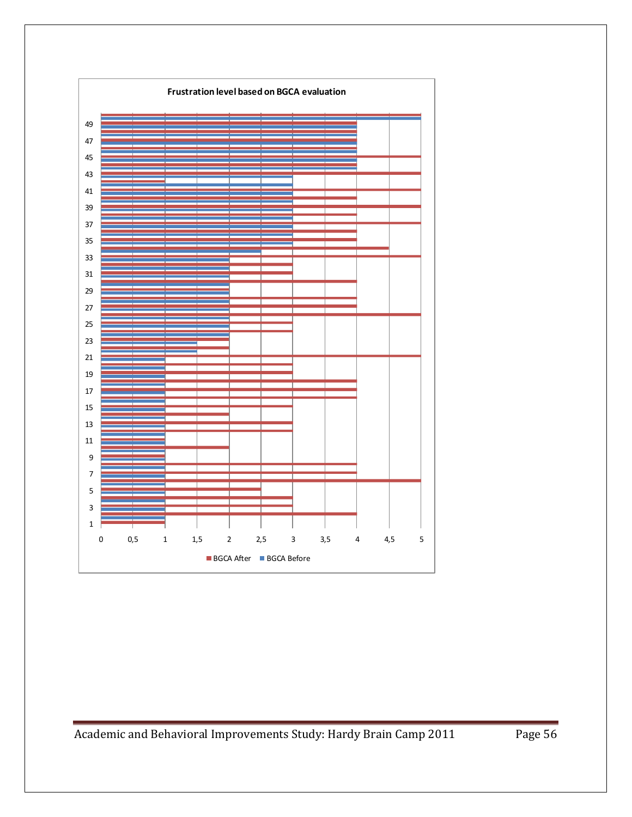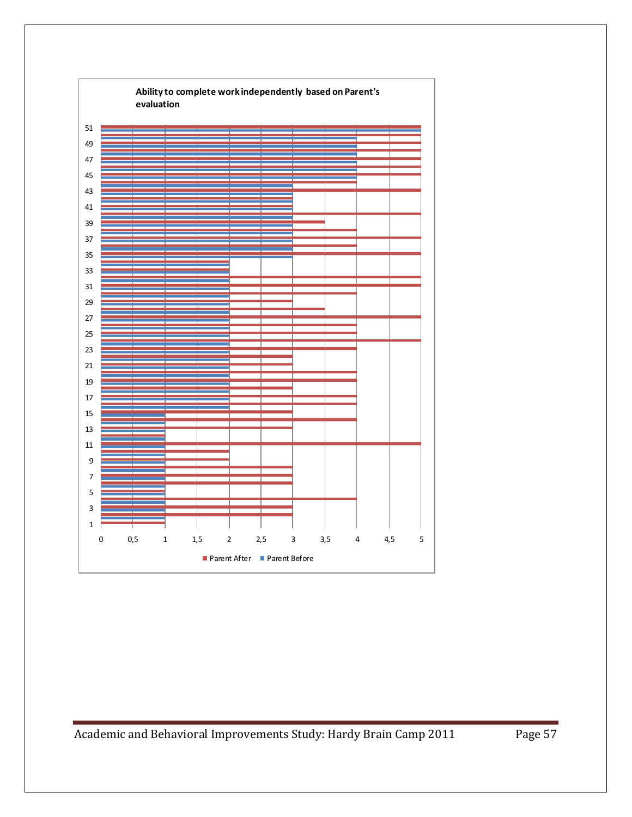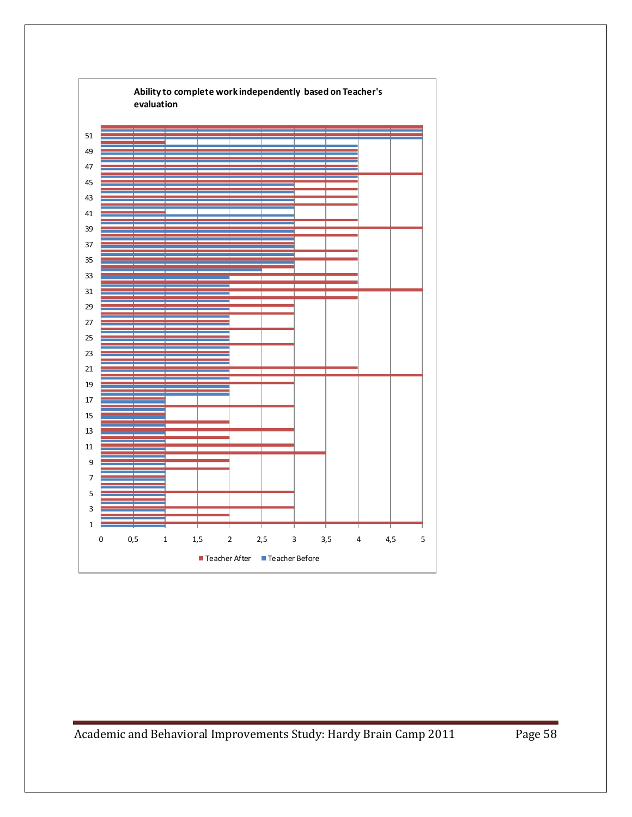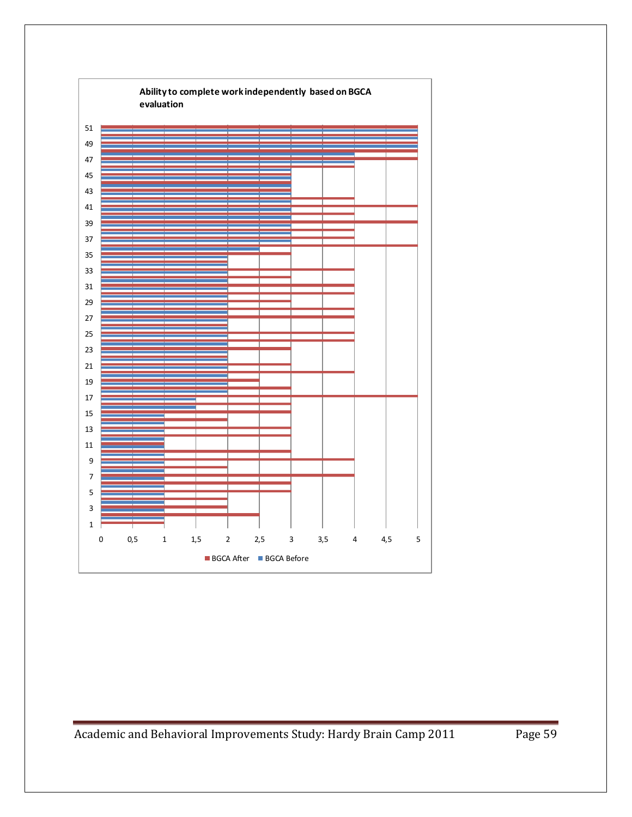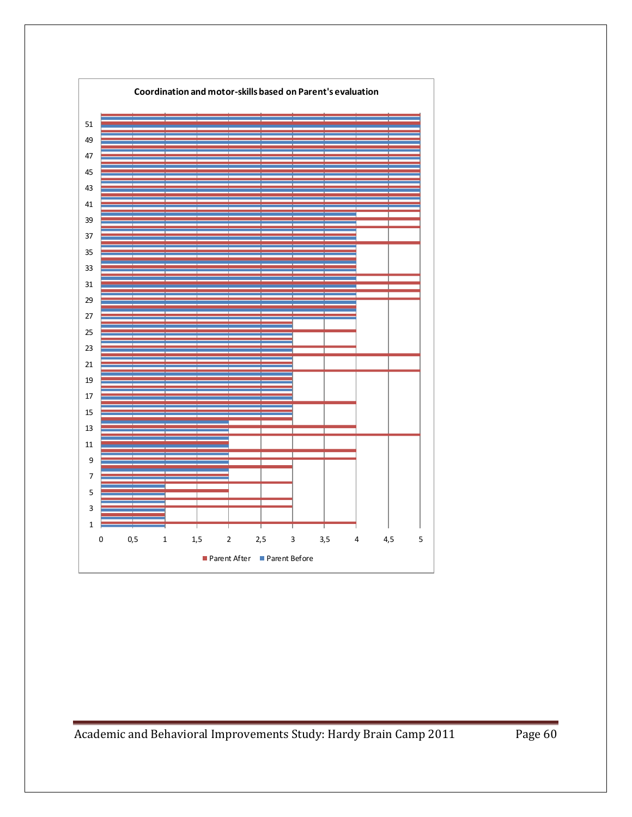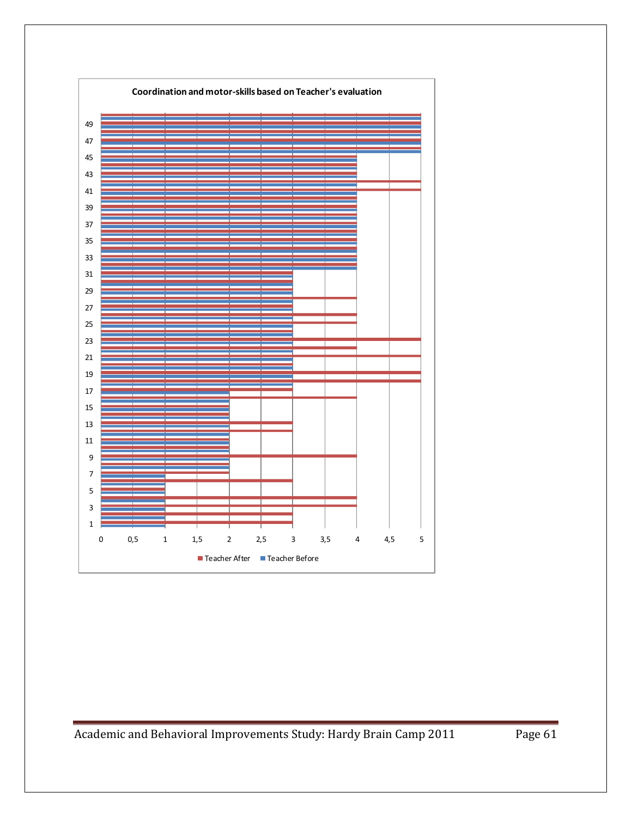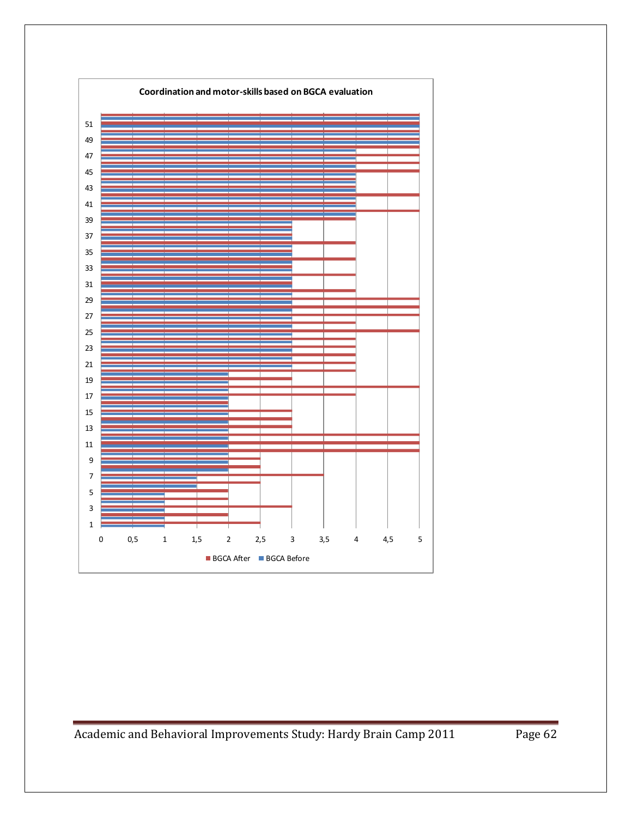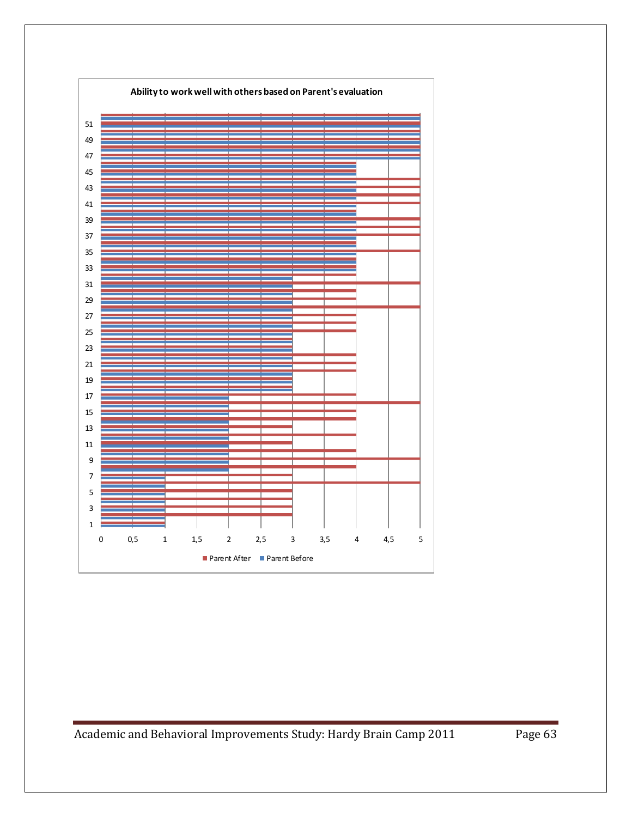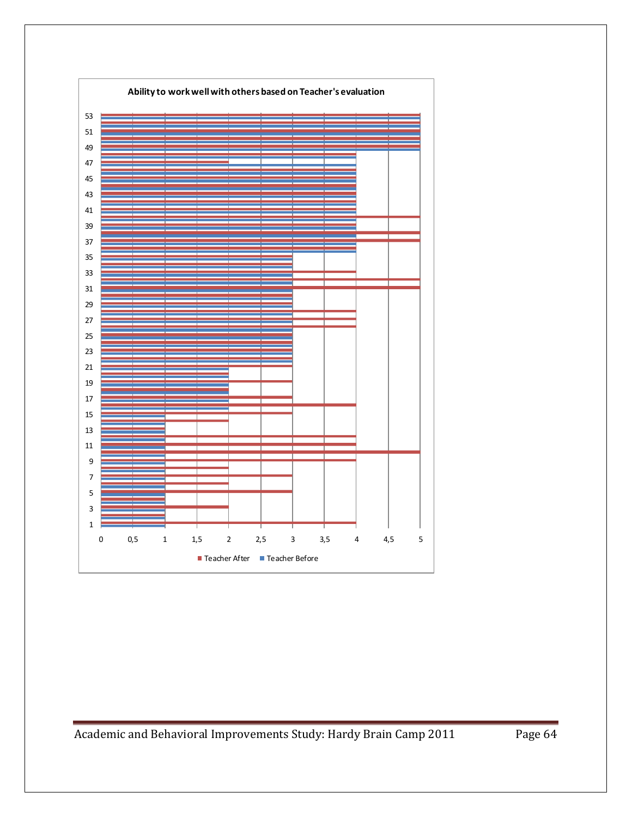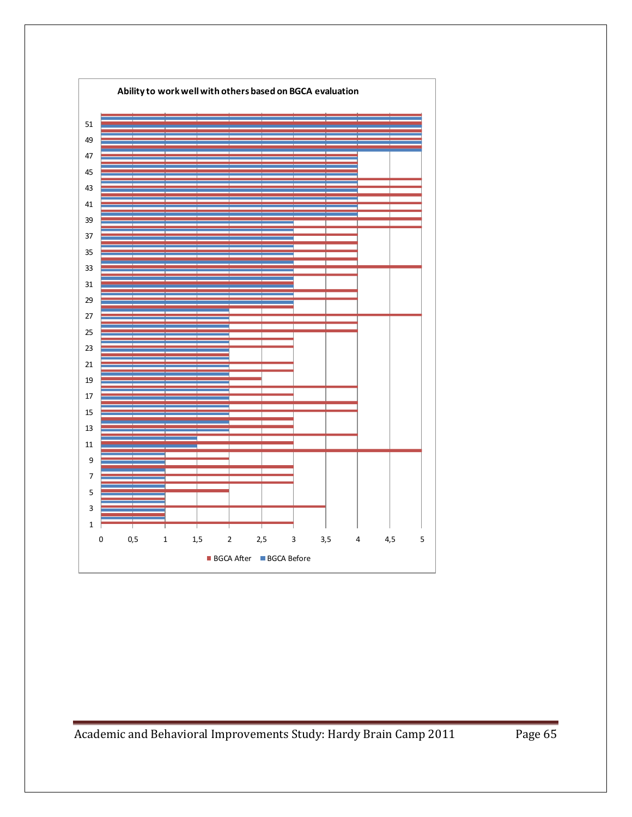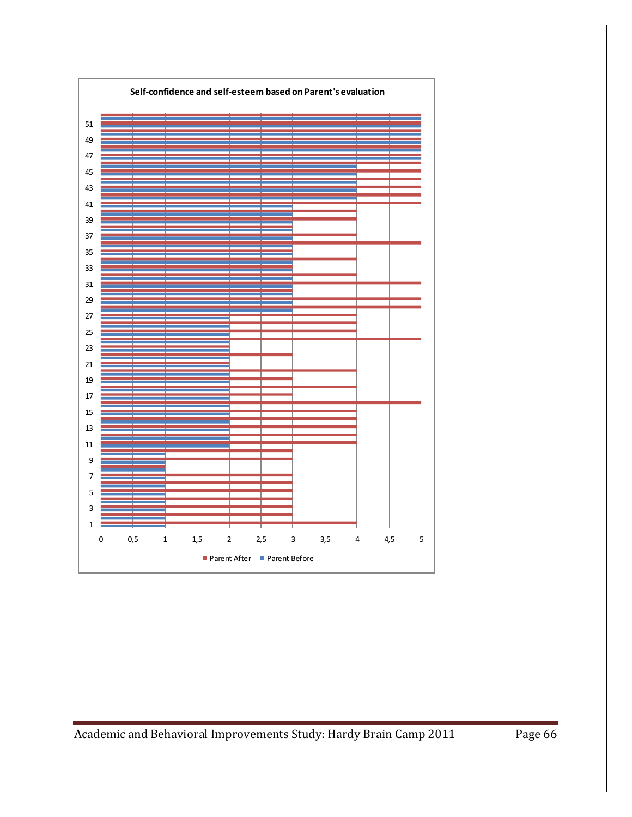